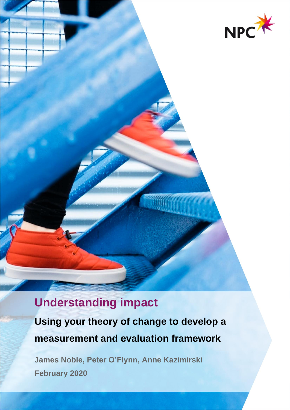

# **Understanding impact**

**Using your theory of change to develop a measurement and evaluation framework**

**James Noble, Peter O'Flynn, Anne Kazimirski February 2020**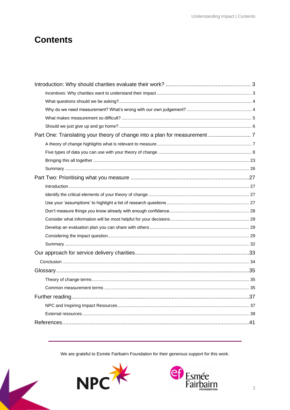## **Contents**

We are grateful to Esmée Fairbairn Foundation for their generous support for this work.



 $\overline{\textbf{K}}$ 

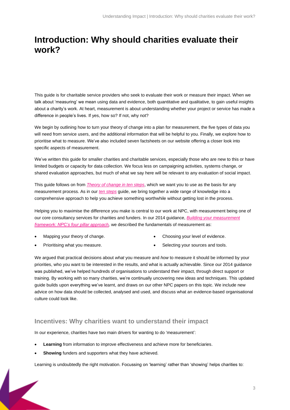## <span id="page-2-0"></span>**Introduction: Why should charities evaluate their work?**

This guide is for charitable service providers who seek to evaluate their work or measure their impact. When we talk about 'measuring' we mean using data and evidence, both quantitative and qualitative, to gain useful insights about a charity's work. At heart, measurement is about understanding whether your project or service has made a difference in people's lives. If yes, how so? If not, why not?

We begin by outlining how to turn your theory of change into a plan for measurement, the five types of data you will need from service users, and the additional information that will be helpful to you. Finally, we explore how to prioritise what to measure. We've also included seven factsheets on our website offering a closer look into specific aspects of measurement.

We've written this guide for smaller charities and charitable services, especially those who are new to this or have limited budgets or capacity for data collection. We focus less on campaigning activities, systems change, or shared evaluation approaches, but much of what we say here will be relevant to any evaluation of social impact.

This guide follows on from *[Theory of change in ten steps](https://www.thinknpc.org/resource-hub/ten-steps/)*, which we want you to use as the basis for any measurement process. As in our *[ten steps](https://www.thinknpc.org/resource-hub/ten-steps/)* guide, we bring together a wide range of knowledge into a comprehensive approach to help you achieve something worthwhile without getting lost in the process.

Helping you to maximise the difference you make is central to our work at NPC, with measurement being one of our core consultancy services for charities and funders. In our 2014 guidance, *[Building your measurement](https://www.thinknpc.org/resource-hub/npcs-four-pillar-approach/)  [framework: NPC's four pillar approach,](https://www.thinknpc.org/resource-hub/npcs-four-pillar-approach/)* we described the fundamentals of measurement as:

• Mapping your theory of change.

Choosing your level of evidence.

• Prioritising what you measure.

• Selecting your sources and tools.

We argued that practical decisions about *what* you measure and *how* to measure it should be informed by your priorities, who you want to be interested in the results, and what is actually achievable. Since our 2014 guidance was published, we've helped hundreds of organisations to understand their impact, through direct support or training. By working with so many charities, we're continually uncovering new ideas and techniques. This updated guide builds upon everything we've learnt, and draws on our other NPC papers on this topic. We include new advice on how data should be collected, analysed and used, and discuss what an evidence-based organisational culture could look like.

## <span id="page-2-1"></span>**Incentives: Why charities want to understand their impact**

In our experience, charities have two main drivers for wanting to do 'measurement':

- **Learning** from information to improve effectiveness and achieve more for beneficiaries.
- **Showing** funders and supporters what they have achieved.

Learning is undoubtedly the right motivation. Focussing on 'learning' rather than 'showing' helps charities to: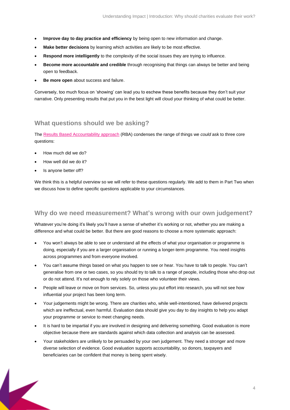- **Improve day to day practice and efficiency** by being open to new information and change.
- **Make better decisions** by learning which activities are likely to be most effective.
- **Respond more intelligently** to the complexity of the social issues they are trying to influence.
- **Become more accountable and credible** through recognising that things can always be better and being open to feedback.
- **Be more open** about success and failure.

Conversely, too much focus on 'showing' can lead you to eschew these benefits because they don't suit your narrative. Only presenting results that put you in the best light will cloud your thinking of what could be better.

### <span id="page-3-0"></span>**What questions should we be asking?**

The [Results Based Accountability approach](https://clearimpact.com/results-based-accountability/) (RBA) condenses the range of things we *could* ask to three core questions:

- How much did we do?
- How well did we do it?
- Is anyone better off?

We think this is a helpful overview so we will refer to these questions regularly. We add to them in Part Two when we discuss how to define specific questions applicable to your circumstances.

### <span id="page-3-1"></span>**Why do we need measurement? What's wrong with our own judgement?**

Whatever you're doing it's likely you'll have a sense of whether it's working or not, whether you are making a difference and what could be better. But there are good reasons to choose a more systematic approach:

- You won't always be able to see or understand all the effects of what your organisation or programme is doing, especially if you are a larger organisation or running a longer-term programme. You need insights across programmes and from everyone involved.
- You can't assume things based on what you happen to see or hear. You have to talk to people. You can't generalise from one or two cases, so you should try to talk to a range of people, including those who drop out or do not attend. It's not enough to rely solely on those who volunteer their views.
- People will leave or move on from services. So, unless you put effort into research, you will not see how influential your project has been long term.
- Your judgements might be wrong. There are charities who, while well-intentioned, have delivered projects which are ineffectual, even harmful. Evaluation data should give you day to day insights to help you adapt your programme or service to meet changing needs.
- It is hard to be impartial if you are involved in designing and delivering something. Good evaluation is more objective because there are standards against which data collection and analysis can be assessed.
- Your stakeholders are unlikely to be persuaded by your own judgement. They need a stronger and more diverse selection of evidence. Good evaluation supports accountability, so donors, taxpayers and beneficiaries can be confident that money is being spent wisely.

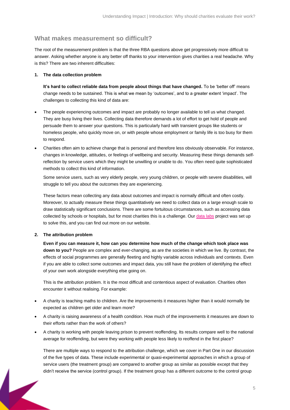### <span id="page-4-0"></span>**What makes measurement so difficult?**

The root of the measurement problem is that the three RBA questions above get progressively more difficult to answer. Asking whether anyone is any better off thanks to your intervention gives charities a real headache. Why is this? There are two inherent difficulties:

#### **1. The data collection problem**

**It's hard to collect reliable data from people about things that have changed.** To be 'better off' means change needs to be sustained. This is what we mean by 'outcomes', and to a greater extent 'impact'. The challenges to collecting this kind of data are:

- The people experiencing outcomes and impact are probably no longer available to tell us what changed. They are busy living their lives. Collecting data therefore demands a lot of effort to get hold of people and persuade them to answer your questions. This is particularly hard with transient groups like students or homeless people, who quickly move on, or with people whose employment or family life is too busy for them to respond.
- Charities often aim to achieve change that is personal and therefore less obviously observable. For instance, changes in knowledge, attitudes, or feelings of wellbeing and security. Measuring these things demands selfreflection by service users which they might be unwilling or unable to do. You often need quite sophisticated methods to collect this kind of information.

Some service users, such as very elderly people, very young children, or people with severe disabilities, will struggle to tell you about the outcomes they are experiencing.

These factors mean collecting any data about outcomes and impact is normally difficult and often costly. Moreover, to actually measure these things quantitatively we need to collect data on a large enough scale to draw statistically significant conclusions. There are some fortuitous circumstances, such as accessing data collected by schools or hospitals, but for most charities this is a challenge. Our [data labs](https://www.thinknpc.org/examples-of-our-work/initiatives-were-working-on/data-labs/) project was set up to solve this, and you can find out more on our website.

#### **2. The attribution problem**

**Even if you can measure it, how can you determine how much of the change which took place was down to you?** People are complex and ever-changing, as are the societies in which we live. By contrast, the effects of social programmes are generally fleeting and highly variable across individuals and contexts. Even if you are able to collect some outcomes and impact data, you still have the problem of identifying the effect of your own work alongside everything else going on.

This is the attribution problem. It is the most difficult and contentious aspect of evaluation. Charities often encounter it without realising. For example:

- A charity is teaching maths to children. Are the improvements it measures higher than it would normally be expected as children get older and learn more?
- A charity is raising awareness of a health condition. How much of the improvements it measures are down to their efforts rather than the work of others?
- A charity is working with people leaving prison to prevent reoffending. Its results compare well to the national average for reoffending, but were they working with people less likely to reoffend in the first place?

There are multiple ways to respond to the attribution challenge, which we cover in Part One in our discussion of the five types of data. These include experimental or quasi-experimental approaches in which a group of service users (the treatment group) are compared to another group as similar as possible except that they didn't receive the service (control group). If the treatment group has a different outcome to the control group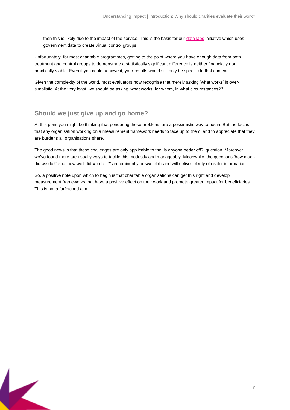then this is likely due to the impact of the service. This is the basis for ou[r data labs](https://www.thinknpc.org/examples-of-our-work/initiatives-were-working-on/data-labs/) initiative which uses government data to create virtual control groups.

Unfortunately, for most charitable programmes, getting to the point where you have enough data from both treatment and control groups to demonstrate a statistically significant difference is neither financially nor practically viable. Even if you could achieve it, your results would still only be specific to that context.

Given the complexity of the world, most evaluators now recognise that merely asking 'what works' is oversimplistic. At the very least, we should be asking 'what works, for whom, in what circumstances?'<sup>1</sup> .

## <span id="page-5-0"></span>**Should we just give up and go home?**

At this point you might be thinking that pondering these problems are a pessimistic way to begin. But the fact is that any organisation working on a measurement framework needs to face up to them, and to appreciate that they are burdens all organisations share.

The good news is that these challenges are only applicable to the 'is anyone better off?' question. Moreover, we've found there are usually ways to tackle this modestly and manageably. Meanwhile, the questions 'how much did we do?' and 'how well did we do it?' are eminently answerable and will deliver plenty of useful information.

So, a positive note upon which to begin is that charitable organisations can get this right and develop measurement frameworks that have a positive effect on their work and promote greater impact for beneficiaries. This is not a farfetched aim.

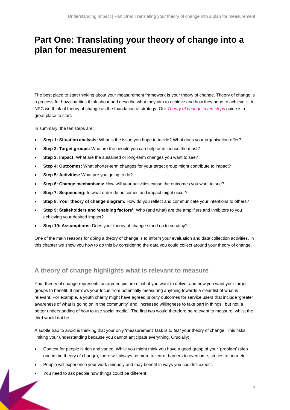## <span id="page-6-0"></span>**Part One: Translating your theory of change into a plan for measurement**

The best place to start thinking about your measurement framework is your theory of change. Theory of change is a process for how charities think about and describe what they aim to achieve and how they hope to achieve it. At NPC we think of theory of change as the foundation of strategy. Our *Theory of [change in ten steps](https://www.thinknpc.org/resource-hub/ten-steps/)* guide is a great place to start.

In summary, the ten steps are:

- **Step 1: Situation analysis:** What is the issue you hope to tackle? What does your organisation offer?
- **Step 2: Target groups:** Who are the people you can help or influence the most?
- **Step 3: Impact:** What are the sustained or long-term changes you want to see?
- **Step 4: Outcomes:** What shorter-term changes for your target group might contribute to impact?
- **Step 5: Activities:** What are you going to do?
- **Step 6: Change mechanisms:** How will your activities cause the outcomes you want to see?
- **Step 7: Sequencing:** In what order do outcomes and impact might occur?
- **Step 8: Your theory of change diagram:** How do you reflect and communicate your intentions to others?
- **Step 9: Stakeholders and 'enabling factors':** Who (and what) are the amplifiers and inhibitors to you achieving your desired impact?
- **Step 10: Assumptions:** Does your theory of change stand up to scrutiny?

One of the main reasons for doing a theory of change is to inform your evaluation and data collection activities. In this chapter we show you how to do this by considering the data you could collect around your theory of change.

### <span id="page-6-1"></span>**A theory of change highlights what is relevant to measure**

Your theory of change represents an agreed picture of what you want to deliver and how you want your target groups to benefit. It narrows your focus from potentially measuring anything towards a clear list of what is relevant. For example, a youth charity might have agreed priority outcomes for service users that include 'greater awareness of what is going on in the community' and 'increased willingness to take part in things', but not 'a better understanding of how to use social media'. The first two would therefore be relevant to measure, whilst the third would not be.

A subtle trap to avoid is thinking that your only 'measurement' task is to *test* your theory of change. This risks limiting your understanding because you cannot anticipate everything. Crucially:

- Context for people is rich and varied. While you might think you have a good grasp of your 'problem' (step one in the theory of change), there will always be more to learn, barriers to overcome, stories to hear etc.
- People will experience your work uniquely and may benefit in ways you couldn't expect.
- You need to ask people how things could be different.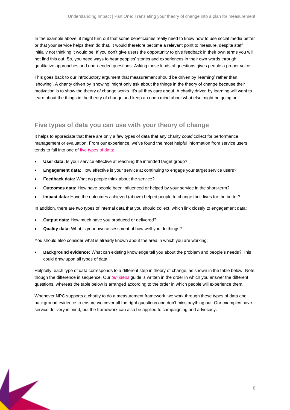In the example above, it might turn out that some beneficiaries really need to know how to use social media better or that your service helps them do that. It would therefore become a relevant point to measure, despite staff initially not thinking it would be. If you don't give users the opportunity to give feedback in their own terms you will not find this out. So, you need ways to hear peoples' stories and experiences in their own words through qualitative approaches and open-ended questions. Asking these kinds of questions gives people a proper voice.

This goes back to our introductory argument that measurement should be driven by 'learning' rather than 'showing'. A charity driven by 'showing' might only ask about the things in the theory of change because their motivation is to show the theory of change works. It's all they care about. A charity driven by learning will want to learn about the things in the theory of change and keep an open mind about what else might be going on.

### <span id="page-7-0"></span>**Five types of data you can use with your theory of change**

It helps to appreciate that there are only a few types of data that any charity *could* collect for performance management or evaluation. From our experience, we've found the most helpful information from service users tends to fall into one of [five types of data:](https://www.thinknpc.org/blog/5-types-of-data-for-assessing-your-work-an-explainer/)

- **User data:** Is your service effective at reaching the intended target group?
- **Engagement data:** How effective is your service at continuing to engage your target service users?
- **Feedback data:** What do people think about the service?
- **Outcomes data:** How have people been influenced or helped by your service in the short-term?
- **Impact data:** Have the outcomes achieved (above) helped people to change their lives for the better?

In addition, there are two types of internal data that you should collect, which link closely to engagement data:

- **Output data:** How much have you produced or delivered?
- **Quality data:** What is your own assessment of how well you do things?

You should also consider what is already known about the area in which you are working:

• **Background evidence:** What can existing knowledge tell you about the problem and people's needs? This could draw upon all types of data.

Helpfully, each type of data corresponds to a different step in theory of change, as shown in the table below. Note though the difference in sequence. Our *[ten steps](https://www.thinknpc.org/resource-hub/ten-steps/)* guide is written in the order in which you answer the different questions, whereas the table below is arranged according to the order in which people will experience them.

Whenever NPC supports a charity to do a measurement framework, we work through these types of data and background evidence to ensure we cover all the right questions and don't miss anything out. Our examples have service delivery in mind, but the framework can also be applied to campaigning and advocacy.

8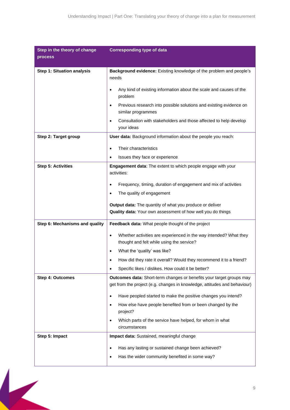| Step in the theory of change      | <b>Corresponding type of data</b>                                                                                                                 |
|-----------------------------------|---------------------------------------------------------------------------------------------------------------------------------------------------|
| process                           |                                                                                                                                                   |
| <b>Step 1: Situation analysis</b> | Background evidence: Existing knowledge of the problem and people's<br>needs                                                                      |
|                                   | Any kind of existing information about the scale and causes of the<br>problem                                                                     |
|                                   | Previous research into possible solutions and existing evidence on<br>$\bullet$<br>similar programmes                                             |
|                                   | Consultation with stakeholders and those affected to help develop<br>your ideas                                                                   |
| Step 2: Target group              | User data: Background information about the people you reach:                                                                                     |
|                                   | Their characteristics<br>$\bullet$                                                                                                                |
|                                   | Issues they face or experience                                                                                                                    |
| <b>Step 5: Activities</b>         | Engagement data: The extent to which people engage with your<br>activities:                                                                       |
|                                   | Frequency, timing, duration of engagement and mix of activities                                                                                   |
|                                   | The quality of engagement                                                                                                                         |
|                                   | Output data: The quantity of what you produce or deliver<br>Quality data: Your own assessment of how well you do things                           |
| Step 6: Mechanisms and quality    | Feedback data: What people thought of the project                                                                                                 |
|                                   | Whether activities are experienced in the way intended? What they<br>$\bullet$<br>thought and felt while using the service?                       |
|                                   | What the 'quality' was like?<br>$\bullet$                                                                                                         |
|                                   | How did they rate it overall? Would they recommend it to a friend?                                                                                |
|                                   | Specific likes / dislikes. How could it be better?                                                                                                |
| <b>Step 4: Outcomes</b>           | Outcomes data: Short-term changes or benefits your target groups may<br>get from the project (e.g. changes in knowledge, attitudes and behaviour) |
|                                   | Have peopled started to make the positive changes you intend?<br>$\bullet$                                                                        |
|                                   | How else have people benefited from or been changed by the<br>project?                                                                            |
|                                   | Which parts of the service have helped, for whom in what<br>circumstances                                                                         |
| Step 5: Impact                    | Impact data: Sustained, meaningful change                                                                                                         |
|                                   | Has any lasting or sustained change been achieved?                                                                                                |
|                                   | Has the wider community benefited in some way?                                                                                                    |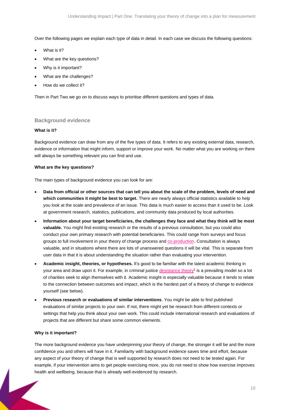Over the following pages we explain each type of data in detail. In each case we discuss the following questions:

- What is it?
- What are the key questions?
- Why is it important?
- What are the challenges?
- How do we collect it?

Then in Part Two we go on to discuss ways to prioritise different questions and types of data.

#### **Background evidence**

#### **What is it?**

Background evidence can draw from any of the five types of data. It refers to any existing external data, research, evidence or information that might inform, support or improve your work. No matter what you are working on there will always be something relevant you can find and use.

#### **What are the key questions?**

The main types of background evidence you can look for are:

- **Data from official or other sources that can tell you about the scale of the problem, levels of need and which communities it might be best to target.** There are nearly always official statistics available to help you look at the scale and prevalence of an issue. This data is much easier to access than it used to be. Look at government research, statistics, publications, and community data produced by local authorities.
- **Information about your target beneficiaries, the challenges they face and what they think will be most valuable.** You might find existing research or the results of a previous consultation, but you could also conduct your own primary research with potential beneficiaries. This could range from surveys and focus groups to full involvement in your theory of change process and [co-production.](https://www.thinknpc.org/resource-hub/implementing-and-evaluating-co-design/) Consultation is always valuable, and in situations where there are lots of unanswered questions it will be vital. This is separate from user data in that it is about understanding the situation rather than evaluating your intervention.
- **Academic insight, theories, or hypotheses.** It's good to be familiar with the latest academic thinking in your area and draw upon it. For example, in criminal justice [desistance theory](https://www.clinks.org/publication/introducing-desistance)<sup>2</sup> is a prevailing model so a lot of charities seek to align themselves with it. Academic insight is especially valuable because it tends to relate to the connection between outcomes and impact, which is the hardest part of a theory of change to evidence yourself (see below).
- **Previous research or evaluations of similar interventions**. You might be able to find published evaluations of similar projects to your own. If not, there might yet be research from different contexts or settings that help you think about your own work. This could include international research and evaluations of projects that are different but share some common elements.

#### **Why is it important?**

The more background evidence you have underpinning your theory of change, the stronger it will be and the more confidence you and others will have in it. Familiarity with background evidence saves time and effort, because any aspect of your theory of change that is well supported by research does not need to be tested again. For example, if your intervention aims to get people exercising more, you do not need to show how exercise improves health and wellbeing, because that is already well-evidenced by research.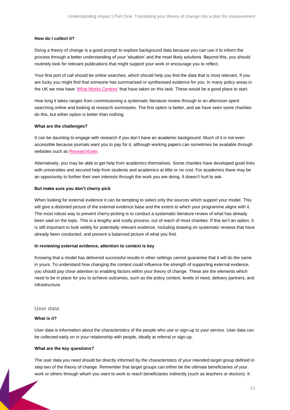#### **How do I collect it?**

Doing a theory of change is a good prompt to explore background data because you can use it to inform the process through a better understanding of your 'situation' and the most likely solutions. Beyond this, you should routinely look for relevant publications that might support your work or encourage you to reflect.

Your first port of call should be online searches, which should help you find the data that is most relevant. If you are lucky you might find that someone has summarised or synthesised evidence for you. In many policy areas in the UK we now have ['What Works Centres'](https://www.gov.uk/guidance/what-works-network) that have taken on this task. These would be a good place to start.

How long it takes ranges from commissioning a systematic literature review through to an afternoon spent searching online and looking at research summaries. The first option is better, and we have seen some charities do this, but either option is better than nothing.

#### **What are the challenges?**

It can be daunting to engage with research if you don't have an academic background. Much of it is not even accessible because journals want you to pay for it, although working papers can sometimes be available through websites such as [ResearchGate.](https://www.researchgate.net/)

Alternatively, you may be able to get help from academics themselves. Some charities have developed good links with universities and secured help from students and academics at little or no cost. For academics there may be an opportunity to further their own interests through the work you are doing. It doesn't hurt to ask.

#### **But make sure you don't cherry-pick**

When looking for external evidence it can be tempting to select only the sources which support your model. This will give a distorted picture of the external evidence base and the extent to which your programme aligns with it. The most robust way to prevent cherry-picking is to conduct a systematic literature review of what has already been said on the topic. This is a lengthy and costly process, out of reach of most charities. If this isn't an option, it is still important to look widely for potentially relevant evidence, including drawing on systematic reviews that have already been conducted, and present a balanced picture of what you find.

#### **In reviewing external evidence, attention to context is key**

Knowing that a model has delivered successful results in other settings cannot guarantee that it will do the same in yours. To understand how changing the context could influence the strength of supporting external evidence, you should pay close attention to enabling factors within your theory of change. These are the elements which need to be in place for you to achieve outcomes, such as the policy context, levels of need, delivery partners, and infrastructure.

#### **User data**

#### **What is it?**

User data is information about the characteristics of the people who use or sign-up to your service. User data can be collected early on in your relationship with people, ideally at referral or sign-up.

#### **What are the key questions?**

The user data you need should be directly informed by the characteristics of your intended target group defined in step two of the theory of change. Remember that target groups can either be the ultimate beneficiaries of your work or others through whom you want to work to reach beneficiaries indirectly (such as teachers or doctors). It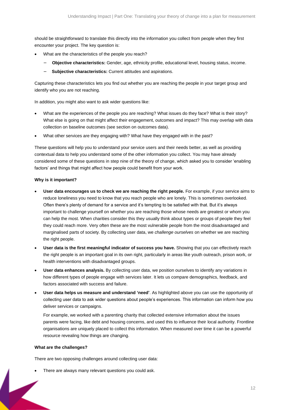should be straightforward to translate this directly into the information you collect from people when they first encounter your project. The key question is:

- What are the characteristics of the people you reach?
	- − **Objective characteristics:** Gender, age, ethnicity profile, educational level, housing status, income.
	- − **Subjective characteristics:** Current attitudes and aspirations.

Capturing these characteristics lets you find out whether you are reaching the people in your target group and identify who you are not reaching.

In addition, you might also want to ask wider questions like:

- What are the experiences of the people you are reaching? What issues do they face? What is their story? What else is going on that might affect their engagement, outcomes and impact? This may overlap with data collection on baseline outcomes (see section on outcomes data).
- What other services are they engaging with? What have they engaged with in the past?

These questions will help you to understand your service users and their needs better, as well as providing contextual data to help you understand some of the other information you collect. You may have already considered some of these questions in step nine of the theory of change, which asked you to consider 'enabling factors' and things that might affect how people could benefit from your work.

#### **Why is it important?**

- **User data encourages us to check we are reaching the right people.** For example, if your service aims to reduce loneliness you need to know that you reach people who are lonely. This is sometimes overlooked. Often there's plenty of demand for a service and it's tempting to be satisfied with that. But it's always important to challenge yourself on whether you are reaching those whose needs are greatest or whom you can help the most. When charities consider this they usually think about types or groups of people they feel they could reach more. Very often these are the most vulnerable people from the most disadvantaged and marginalised parts of society. By collecting user data, we *challenge ourselves* on whether we are reaching the right people.
- **User data is the first meaningful indicator of success you have.** Showing that you can effectively reach the right people is an important goal in its own right, particularly in areas like youth outreach, prison work, or health interventions with disadvantaged groups.
- **User data enhances analysis.** By collecting user data, we position ourselves to identify any variations in how different types of people engage with services later. It lets us compare demographics, feedback, and factors associated with success and failure.
- **User data helps us measure and understand 'need'**. As highlighted above you can use the opportunity of collecting user data to ask wider questions about people's experiences. This information can inform how you deliver services or campaigns.

For example, we worked with a parenting charity that collected extensive information about the issues parents were facing, like debt and housing concerns, and used this to influence their local authority. Frontline organisations are uniquely placed to collect this information. When measured over time it can be a powerful resource revealing how things are changing.

#### **What are the challenges?**

There are two opposing challenges around collecting user data:

There are always many relevant questions you could ask.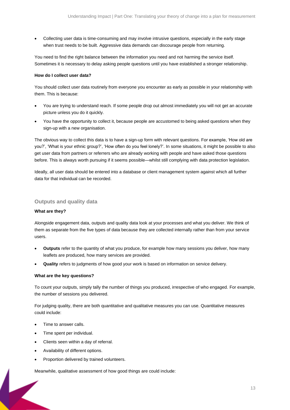• Collecting user data is time-consuming and may involve intrusive questions, especially in the early stage when trust needs to be built. Aggressive data demands can discourage people from returning.

You need to find the right balance between the information you need and not harming the service itself. Sometimes it is necessary to delay asking people questions until you have established a stronger relationship.

#### **How do I collect user data?**

You should collect user data routinely from everyone you encounter as early as possible in your relationship with them. This is because:

- You are trying to understand reach. If some people drop out almost immediately you will not get an accurate picture unless you do it quickly.
- You have the opportunity to collect it, because people are accustomed to being asked questions when they sign-up with a new organisation.

The obvious way to collect this data is to have a sign-up form with relevant questions. For example, 'How old are you?', 'What is your ethnic group?', 'How often do you feel lonely?'. In some situations, it might be possible to also get user data from partners or referrers who are already working with people and have asked those questions before. This is always worth pursuing if it seems possible—whilst still complying with data protection legislation.

Ideally, all user data should be entered into a database or client management system against which all further data for that individual can be recorded.

#### **Outputs and quality data**

#### **What are they?**

Alongside engagement data, outputs and quality data look at your processes and what you deliver. We think of them as separate from the five types of data because they are collected internally rather than from your service users.

- **Outputs** refer to the quantity of what you produce, for example how many sessions you deliver, how many leaflets are produced, how many services are provided.
- **Quality** refers to judgments of how good your work is based on information on service delivery.

#### **What are the key questions?**

To count your outputs, simply tally the number of things you produced, irrespective of who engaged. For example, the number of sessions you delivered.

For judging quality, there are both quantitative and qualitative measures you can use. Quantitative measures could include:

- Time to answer calls.
- Time spent per individual.
- Clients seen within a day of referral.
- Availability of different options.
- Proportion delivered by trained volunteers.

Meanwhile, qualitative assessment of how good things are could include: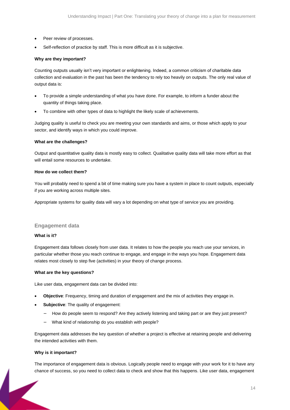- Peer review of processes.
- Self-reflection of practice by staff. This is more difficult as it is subjective.

#### **Why are they important?**

Counting outputs usually isn't very important or enlightening. Indeed, a common criticism of charitable data collection and evaluation in the past has been the tendency to rely too heavily on outputs. The only real value of output data is:

- To provide a simple understanding of what you have done. For example, to inform a funder about the quantity of things taking place.
- To combine with other types of data to highlight the likely scale of achievements.

Judging quality is useful to check you are meeting your own standards and aims, or those which apply to your sector, and identify ways in which you could improve.

#### **What are the challenges?**

Output and quantitative quality data is mostly easy to collect. Qualitative quality data will take more effort as that will entail some resources to undertake.

#### **How do we collect them?**

You will probably need to spend a bit of time making sure you have a system in place to count outputs, especially if you are working across multiple sites.

Appropriate systems for quality data will vary a lot depending on what type of service you are providing.

#### **Engagement data**

#### **What is it?**

Engagement data follows closely from user data. It relates to how the people you reach use your services, in particular whether those you reach continue to engage, and engage in the ways you hope. Engagement data relates most closely to step five (activities) in your theory of change process.

#### **What are the key questions?**

Like user data, engagement data can be divided into:

- **Objective**: Frequency, timing and duration of engagement and the mix of activities they engage in.
- **Subjective**: The quality of engagement:
	- − How do people seem to respond? Are they actively listening and taking part or are they just present?
	- − What kind of relationship do you establish with people?

Engagement data addresses the key question of whether a project is effective at retaining people and delivering the intended activities with them.

#### **Why is it important?**

The importance of engagement data is obvious. Logically people need to engage with your work for it to have any chance of success, so you need to collect data to check and show that this happens. Like user data, engagement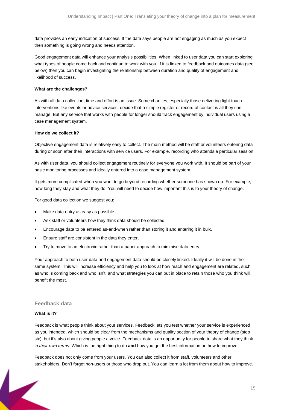data provides an early indication of success. If the data says people are not engaging as much as you expect then something is going wrong and needs attention.

Good engagement data will enhance your analysis possibilities. When linked to user data you can start exploring what types of people come back and continue to work with you. If it is linked to feedback and outcomes data (see below) then you can begin investigating the relationship between duration and quality of engagement and likelihood of success.

#### **What are the challenges?**

As with all data collection, time and effort is an issue. Some charities, especially those delivering light touch interventions like events or advice services, decide that a simple register or record of contact is all they can manage. But any service that works with people for longer should track engagement by individual users using a case management system.

#### **How do we collect it?**

Objective engagement data is relatively easy to collect. The main method will be staff or volunteers entering data during or soon after their interactions with service users. For example, recording who attends a particular session.

As with user data, you should collect engagement routinely for everyone you work with. It should be part of your basic monitoring processes and ideally entered into a case management system.

It gets more complicated when you want to go beyond recording whether someone has shown up. For example, how long they stay and what they do. You will need to decide how important this is to your theory of change.

For good data collection we suggest you:

- Make data entry as easy as possible.
- Ask staff or volunteers how they think data should be collected.
- Encourage data to be entered as-and-when rather than storing it and entering it in bulk.
- Ensure staff are consistent in the data they enter.
- Try to move to an electronic rather than a paper approach to minimise data entry.

Your approach to both user data and engagement data should be closely linked. Ideally it will be done in the same system. This will increase efficiency and help you to look at how reach and engagement are related, such as who is coming back and who isn't, and what strategies you can put in place to retain those who you think will benefit the most.

#### **Feedback data**

#### **What is it?**

Feedback is what people think about your services. Feedback lets you test whether your service is experienced as you intended, which should be clear from the mechanisms and quality section of your theory of change (step six), but it's also about giving people a voice. Feedback data is an opportunity for people to share what they think *in their own terms*. Which is the right thing to do **and** how you get the best information on how to improve.

Feedback does not only come from your users. You can also collect it from staff, volunteers and other stakeholders. Don't forget non-users or those who drop out. You can learn a lot from them about how to improve.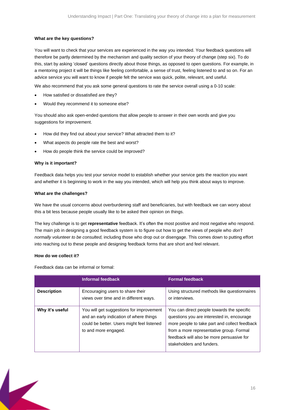#### **What are the key questions?**

You will want to check that your services are experienced in the way you intended. Your feedback questions will therefore be partly determined by the mechanism and quality section of your theory of change (step six). To do this, start by asking 'closed' questions directly about those things, as opposed to open questions. For example, in a mentoring project it will be things like feeling comfortable, a sense of trust, feeling listened to and so on. For an advice service you will want to know if people felt the service was quick, polite, relevant, and useful.

We also recommend that you ask some general questions to rate the service overall using a 0-10 scale:

- How satisfied or dissatisfied are they?
- Would they recommend it to someone else?

You should also ask open-ended questions that allow people to answer in their own words and give you suggestions for improvement.

- How did they find out about your service? What attracted them to it?
- What aspects do people rate the best and worst?
- How do people think the service could be improved?

#### **Why is it important?**

Feedback data helps you test your service model to establish whether your service gets the reaction you want and whether it is beginning to work in the way you intended, which will help you think about ways to improve.

#### **What are the challenges?**

We have the usual concerns about overburdening staff and beneficiaries, but with feedback we can worry about this a bit less because people usually like to be asked their opinion on things.

The key challenge is to get **representative** feedback. It's often the most positive and most negative who respond. The main job in designing a good feedback system is to figure out how to get the views of people who *don't normally volunteer to be consulted,* including those who drop out or disengage. This comes down to putting effort into reaching out to these people and designing feedback forms that are short and feel relevant.

#### **How do we collect it?**

Feedback data can be informal or formal:

|                    | Informal feedback                                                                                                                                         | <b>Formal feedback</b>                                                                                                                                                                                                                                          |
|--------------------|-----------------------------------------------------------------------------------------------------------------------------------------------------------|-----------------------------------------------------------------------------------------------------------------------------------------------------------------------------------------------------------------------------------------------------------------|
| <b>Description</b> | Encouraging users to share their<br>views over time and in different ways.                                                                                | Using structured methods like questionnaires<br>or interviews.                                                                                                                                                                                                  |
| Why it's useful    | You will get suggestions for improvement<br>and an early indication of where things<br>could be better. Users might feel listened<br>to and more engaged. | You can direct people towards the specific<br>questions you are interested in, encourage<br>more people to take part and collect feedback<br>from a more representative group. Formal<br>feedback will also be more persuasive for<br>stakeholders and funders. |

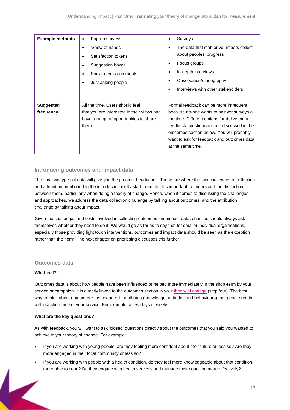| <b>Example methods</b>        | Pop-up surveys<br>$\bullet$<br>'Show of hands'<br>Satisfaction tokens<br>Suggestion boxes<br>Social media comments<br>Just asking people<br>٠ | Surveys<br>$\bullet$<br>The data that staff or volunteers collect<br>٠<br>about peoples' progress<br>Focus groups<br>$\bullet$<br>In-depth interviews<br>٠<br>Observation/ethnography<br>Interviews with other stakeholders<br>٠                                                                    |
|-------------------------------|-----------------------------------------------------------------------------------------------------------------------------------------------|-----------------------------------------------------------------------------------------------------------------------------------------------------------------------------------------------------------------------------------------------------------------------------------------------------|
| <b>Suggested</b><br>frequency | All the time. Users should feel<br>that you are interested in their views and<br>have a range of opportunities to share<br>them.              | Formal feedback can be more infrequent<br>because no-one wants to answer surveys all<br>the time. Different options for delivering a<br>feedback questionnaire are discussed in the<br>outcomes section below. You will probably<br>want to ask for feedback and outcomes data<br>at the same time. |

#### **Introducing outcomes and impact data**

The final two types of data will give you the greatest headaches. These are where the two challenges of collection and attribution mentioned in the introduction really start to matter. It's important to understand the distinction between them, particularly when doing a theory of change. Hence, when it comes to discussing the challenges and approaches, we address the data collection challenge by talking about outcomes, and the attribution challenge by talking about impact.

Given the challenges and costs involved in collecting outcomes and impact data, charities should always ask themselves whether they need to do it. We would go as far as to say that for smaller individual organisations, especially those providing light touch interventions, outcomes and impact data should be seen as the exception rather than the norm. The next chapter on prioritising discusses this further.

#### **Outcomes data**

#### **What is it?**

Outcomes data is about how people have been influenced or helped more immediately in the short-term by your service or campaign. It is directly linked to the outcomes section in your [theory of change](https://www.thinknpc.org/resource-hub/ten-steps/) (step four). The best way to think about outcomes is as changes in attributes (knowledge, attitudes and behaviours) that people retain within a short time of your service. For example, a few days or weeks.

#### **What are the key questions?**

As with feedback, you will want to ask 'closed' questions directly about the outcomes that you said you wanted to achieve in your theory of change. For example:

- If you are working with young people, are they feeling more confident about their future or less so? Are they more engaged in their local community or less so?
- If you are working with people with a health condition, do they feel more knowledgeable about that condition, more able to cope? Do they engage with health services and manage their condition more effectively?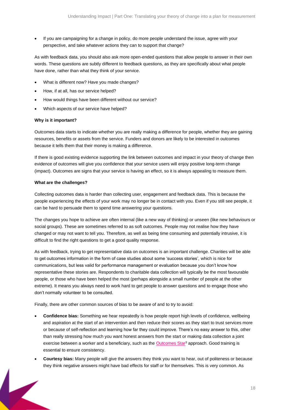• If you are campaigning for a change in policy, do more people understand the issue, agree with your perspective, and take whatever actions they can to support that change?

As with feedback data, you should also ask more open-ended questions that allow people to answer in their own words. These questions are subtly different to feedback questions, as they are specifically about what people have done, rather than what they think of your service.

- What is different now? Have you made changes?
- How, if at all, has our service helped?
- How would things have been different without our service?
- Which aspects of our service have helped?

#### **Why is it important?**

Outcomes data starts to indicate whether you are really making a difference for people, whether they are gaining resources, benefits or assets from the service. Funders and donors are likely to be interested in outcomes because it tells them that their money is making a difference.

If there is good existing evidence supporting the link between outcomes and impact in your theory of change then evidence of outcomes will give you confidence that your service users will enjoy positive long-term change (impact). Outcomes are signs that your service is having an effect, so it is always appealing to measure them.

#### **What are the challenges?**

Collecting outcomes data is harder than collecting user, engagement and feedback data. This is because the people experiencing the effects of your work may no longer be in contact with you. Even if you still see people, it can be hard to persuade them to spend time answering your questions.

The changes you hope to achieve are often internal (like a new way of thinking) or unseen (like new behaviours or social groups). These are sometimes referred to as soft outcomes. People may not realise how they have changed or may not want to tell you. Therefore, as well as being time consuming and potentially intrusive, it is difficult to find the right questions to get a good quality response.

As with feedback, trying to get representative data on outcomes is an important challenge. Charities will be able to get outcomes information in the form of case studies about some 'success stories', which is nice for communications, but less valid for performance management or evaluation because you don't know how representative these stories are. Respondents to charitable data collection will typically be the most favourable people, or those who have been helped the most (perhaps alongside a small number of people at the other extreme). It means you always need to work hard to get people to answer questions and to engage those who don't normally volunteer to be consulted.

Finally, there are other common sources of bias to be aware of and to try to avoid:

- **Confidence bias:** Something we hear repeatedly is how people report high levels of confidence, wellbeing and aspiration at the start of an intervention and then reduce their scores as they start to trust services more or because of self-reflection and learning how far they could improve. There's no easy answer to this, other than really stressing how much you want honest answers from the start or making data collection a joint exercise between a worker and a beneficiary, such as the [Outcomes Star](http://www.outcomesstar.org.uk/about-the-star/what-is-the-outcomes-star/)<sup>3</sup> approach. Good training is essential to ensure consistency.
- **Courtesy bias:** Many people will give the answers they think you want to hear, out of politeness or because they think negative answers might have bad effects for staff or for themselves. This is very common. As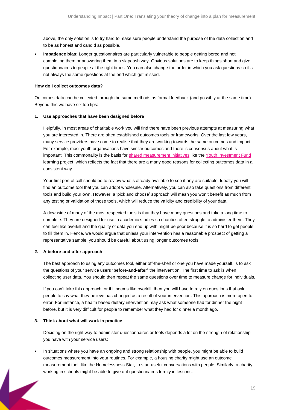above, the only solution is to try hard to make sure people understand the purpose of the data collection and to be as honest and candid as possible.

• **Impatience bias:** Longer questionnaires are particularly vulnerable to people getting bored and not completing them or answering them in a slapdash way. Obvious solutions are to keep things short and give questionnaires to people at the right times. You can also change the order in which you ask questions so it's not always the same questions at the end which get missed.

#### **How do I collect outcomes data?**

Outcomes data can be collected through the same methods as formal feedback (and possibly at the same time). Beyond this we have six top tips:

#### **1. Use approaches that have been designed before**

Helpfully, in most areas of charitable work you will find there have been previous attempts at measuring what you are interested in. There are often established outcomes tools or frameworks. Over the last few years, many service providers have come to realise that they are working towards the same outcomes and impact. For example, most youth organisations have similar outcomes and there is consensus about what is important. This commonality is the basis for [shared measurement](https://www.thinknpc.org/themes/measure-and-manage-impact/evidence-and-shared-impact-measurement/) initiatives like th[e Youth Investment Fund](https://www.thinknpc.org/examples-of-our-work/initiatives-were-working-on/youth-investment-fund-learning-and-impact-programme/) learning project, which reflects the fact that there are a many good reasons for collecting outcomes data in a consistent way.

Your first port of call should be to review what's already available to see if any are suitable. Ideally you will find an outcome tool that you can adopt wholesale. Alternatively, you can also take questions from different tools and build your own. However, a 'pick and choose' approach will mean you won't benefit as much from any testing or validation of those tools, which will reduce the validity and credibility of your data.

A downside of many of the most respected tools is that they have many questions and take a long time to complete. They are designed for use in academic studies so charities often struggle to administer them. They can feel like overkill and the quality of data you end up with might be poor because it is so hard to get people to fill them in. Hence, we would argue that unless your intervention has a reasonable prospect of getting a representative sample, you should be careful about using longer outcomes tools.

#### **2. A before-and-after approach**

The best approach to using any outcomes tool, either off-the-shelf or one you have made yourself, is to ask the questions of your service users **'before-and-after'** the intervention. The first time to ask is when collecting user data. You should then repeat the same questions over time to measure change for individuals.

If you can't take this approach, or if it seems like overkill, then you will have to rely on questions that ask people to say what they believe has changed as a result of your intervention. This approach is more open to error. For instance, a health based dietary intervention may ask what someone had for dinner the night before, but it is very difficult for people to remember what they had for dinner a month ago.

#### **3. Think about what will work in practice**

Deciding on the right way to administer questionnaires or tools depends a lot on the strength of relationship you have with your service users:

• In situations where you have an ongoing and strong relationship with people, you might be able to build outcomes measurement into your routines. For example, a housing charity might use an outcome measurement tool, like the Homelessness Star, to start useful conversations with people. Similarly, a charity working in schools might be able to give out questionnaires termly in lessons.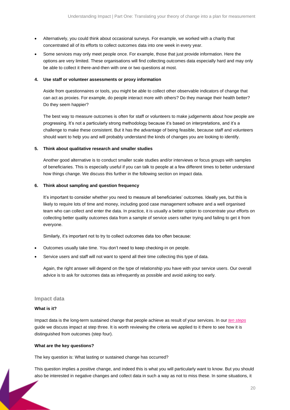- Alternatively, you could think about occasional surveys. For example, we worked with a charity that concentrated all of its efforts to collect outcomes data into one week in every year.
- Some services may only meet people once. For example, those that just provide information. Here the options are very limited. These organisations will find collecting outcomes data especially hard and may only be able to collect it there-and-then with one or two questions at most.

#### **4. Use staff or volunteer assessments or proxy information**

Aside from questionnaires or tools, you might be able to collect other observable indicators of change that can act as proxies. For example, do people interact more with others? Do they manage their health better? Do they seem happier?

The best way to measure outcomes is often for staff or volunteers to make judgements about how people are progressing. It's not a particularly strong methodology because it's based on interpretations, and it's a challenge to make these consistent. But it has the advantage of being feasible, because staff and volunteers should want to help you and will probably understand the kinds of changes you are looking to identify.

#### **5. Think about qualitative research and smaller studies**

Another good alternative is to conduct smaller scale studies and/or interviews or focus groups with samples of beneficiaries. This is especially useful if you can talk to people at a few different times to better understand how things change. We discuss this further in the following section on impact data.

#### **6. Think about sampling and question frequency**

It's important to consider whether you need to measure all beneficiaries' outcomes. Ideally yes, but this is likely to require lots of time and money, including good case management software and a well organised team who can collect and enter the data. In practice, it is usually a better option to concentrate your efforts on collecting better quality outcomes data from a sample of service users rather trying and failing to get it from everyone.

Similarly, it's important not to try to collect outcomes data too often because:

- Outcomes usually take time. You don't need to keep checking-in on people.
- Service users and staff will not want to spend all their time collecting this type of data.

Again, the right answer will depend on the type of relationship you have with your service users. Our overall advice is to ask for outcomes data as infrequently as possible and avoid asking too early.

#### **Impact data**

#### **What is it?**

Impact data is the long-term sustained change that people achieve as result of your services. In our *[ten steps](https://www.thinknpc.org/resource-hub/ten-steps/)* guide we discuss impact at step three. It is worth reviewing the criteria we applied to it there to see how it is distinguished from outcomes (step four).

#### **What are the key questions?**

The key question is: What lasting or sustained change has occurred?

This question implies a positive change, and indeed this is what you will particularly want to know. But you should also be interested in negative changes and collect data in such a way as not to miss these. In some situations, it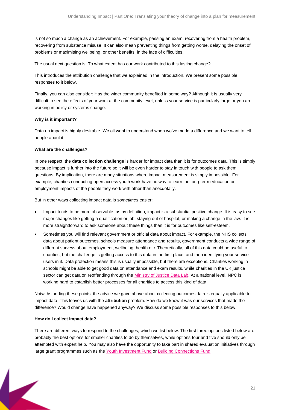is not so much a change as an achievement. For example, passing an exam, recovering from a health problem, recovering from substance misuse. It can also mean preventing things from getting worse, delaying the onset of problems or maximising wellbeing, or other benefits, in the face of difficulties.

The usual next question is: To what extent has our work contributed to this lasting change?

This introduces the attribution challenge that we explained in the introduction. We present some possible responses to it below.

Finally, you can also consider: Has the wider community benefited in some way? Although it is usually very difficult to see the effects of your work at the community level, unless your service is particularly large or you are working in policy or systems change.

#### **Why is it important?**

Data on impact is highly desirable. We all want to understand when we've made a difference and we want to tell people about it.

#### **What are the challenges?**

In one respect, the **data collection challenge** is harder for impact data than it is for outcomes data. This is simply because impact is further into the future so it will be even harder to stay in touch with people to ask them questions. By implication, there are many situations where impact measurement is simply impossible. For example, charities conducting open access youth work have no way to learn the long-term education or employment impacts of the people they work with other than anecdotally.

But in other ways collecting impact data is *sometimes* easier:

- Impact tends to be more observable, as by definition, impact is a substantial positive change. It is easy to see major changes like getting a qualification or job, staying out of hospital, or making a change in the law. It is more straightforward to ask someone about these things than it is for outcomes like self-esteem.
- Sometimes you will find relevant government or official data about impact. For example, the NHS collects data about patient outcomes, schools measure attendance and results, government conducts a wide range of different surveys about employment, wellbeing, health etc. Theoretically, all of this data could be useful to charities, but the challenge is getting access to this data in the first place, and then identifying your service users in it. Data protection means this is usually impossible, but there are exceptions. Charities working in schools might be able to get good data on attendance and exam results, while charities in the UK justice sector can get data on reoffending through the [Ministry of Justice Data Lab.](https://www.thinknpc.org/examples-of-our-work/initiatives-were-working-on/data-labs/) At a national level, NPC is working hard to establish better processes for all charities to access this kind of data.

Notwithstanding these points, the advice we gave above about collecting outcomes data is equally applicable to impact data. This leaves us with the **attribution** problem. How do we know it was our services that made the difference? Would change have happened anyway? We discuss some possible responses to this below.

#### **How do I collect impact data?**

There are different ways to respond to the challenges, which we list below. The first three options listed below are probably the best options for smaller charities to do by themselves, while options four and five should only be attempted with expert help. You may also have the opportunity to take part in shared evaluation initiatives through large grant programmes such as the [Youth Investment Fund](https://www.thinknpc.org/examples-of-our-work/initiatives-were-working-on/youth-investment-fund-learning-and-impact-programme/) or [Building Connections Fund.](https://www.thinknpc.org/examples-of-our-work/initiatives-were-working-on/the-building-connections-fund/)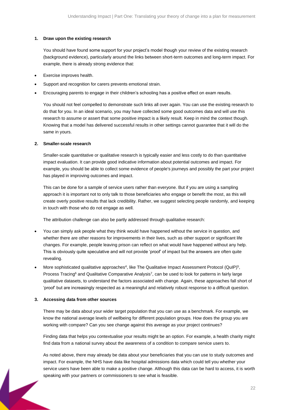#### **1. Draw upon the existing research**

You should have found some support for your project's model though your review of the existing research (background evidence), particularly around the links between short-term outcomes and long-term impact. For example, there is already strong evidence that:

- Exercise improves health.
- Support and recognition for carers prevents emotional strain.
- Encouraging parents to engage in their children's schooling has a positive effect on exam results.

You should not feel compelled to demonstrate such links all over again. You can use the existing research to do that for you. In an ideal scenario, you may have collected some good outcomes data and will use this research to assume or assert that some positive impact is a likely result. Keep in mind the context though. Knowing that a model has delivered successful results in other settings cannot guarantee that it will do the same in yours.

#### **2. Smaller-scale research**

Smaller-scale quantitative or qualitative research is typically easier and less costly to do than quantitative impact evaluation. It can provide good indicative information about potential outcomes and impact. For example, you should be able to collect some evidence of people's journeys and possibly the part your project has played in improving outcomes and impact.

This can be done for a sample of service users rather than everyone. But if you are using a sampling approach it is important not to only talk to those beneficiaries who engage or benefit the most, as this will create overly positive results that lack credibility. Rather, we suggest selecting people randomly, and keeping in touch with those who do not engage as well.

The attribution challenge can also be partly addressed through qualitative research:

- You can simply ask people what they think would have happened without the service in question, and whether there are other reasons for improvements in their lives, such as other support or significant life changes. For example, people leaving prison can reflect on what would have happened without any help. This is obviously quite speculative and will not provide 'proof' of impact but the answers are often quite revealing.
- More sophisticated qualitative approaches<sup>4</sup>, like The Qualitative Impact Assessment Protocol (QuIP)<sup>5</sup>, Process Tracing<sup>6</sup> and Qualitative Comparative Analysis<sup>7</sup>, can be used to look for patterns in fairly large qualitative datasets, to understand the factors associated with change. Again, these approaches fall short of 'proof' but are increasingly respected as a meaningful and relatively robust response to a difficult question.

#### **3. Accessing data from other sources**

There may be data about your wider target population that you can use as a benchmark. For example, we know the national average levels of wellbeing for different population groups. How does the group you are working with compare? Can you see change against this average as your project continues?

Finding data that helps you contextualise your results might be an option. For example, a health charity might find data from a national survey about the awareness of a condition to compare service users to.

As noted above, there may already be data about your beneficiaries that you can use to study outcomes and impact. For example, the NHS have data like hospital admissions data which could tell you whether your service users have been able to make a positive change. Although this data can be hard to access, it is worth speaking with your partners or commissioners to see what is feasible.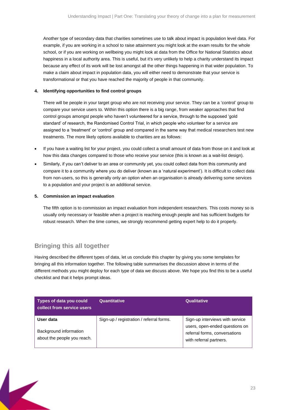Another type of secondary data that charities sometimes use to talk about impact is population level data. For example, if you are working in a school to raise attainment you might look at the exam results for the whole school, or if you are working on wellbeing you might look at data from the Office for National Statistics about happiness in a local authority area. This is useful, but it's very unlikely to help a charity understand its impact because any effect of its work will be lost amongst all the other things happening in that wider population. To make a claim about impact in population data, you will either need to demonstrate that your service is transformational or that you have reached the majority of people in that community.

#### **4. Identifying opportunities to find control groups**

There will be people in your target group who are not receiving your service. They can be a 'control' group to compare your service users to. Within this option there is a big range, from weaker approaches that find control groups amongst people who haven't volunteered for a service, through to the supposed 'gold standard' of research, the Randomised Control Trial, in which people who volunteer for a service are assigned to a 'treatment' or 'control' group and compared in the same way that medical researchers test new treatments. The more likely options available to charities are as follows:

- If you have a waiting list for your project, you could collect a small amount of data from those on it and look at how this data changes compared to those who receive your service (this is known as a wait-list design).
- Similarly, if you can't deliver to an area or community yet, you could collect data from this community and compare it to a community where you do deliver (known as a 'natural experiment'). It is difficult to collect data from non-users, so this is generally only an option when an organisation is already delivering some services to a population and your project is an additional service.

#### **5. Commission an impact evaluation**

The fifth option is to commission an impact evaluation from independent researchers. This costs money so is usually only necessary or feasible when a project is reaching enough people and has sufficient budgets for robust research. When the time comes, we strongly recommend getting expert help to do it properly.

### <span id="page-22-0"></span>**Bringing this all together**

Having described the different types of data, let us conclude this chapter by giving you some templates for bringing all this information together. The following table summarises the discussion above in terms of the different methods you might deploy for each type of data we discuss above. We hope you find this to be a useful checklist and that it helps prompt ideas.

| Types of data you could<br>collect from service users              | Quantitative                             | <b>Qualitative</b>                                                                                                            |
|--------------------------------------------------------------------|------------------------------------------|-------------------------------------------------------------------------------------------------------------------------------|
| User data<br>Background information<br>about the people you reach. | Sign-up / registration / referral forms. | Sign-up interviews with service<br>users, open-ended questions on<br>referral forms, conversations<br>with referral partners. |

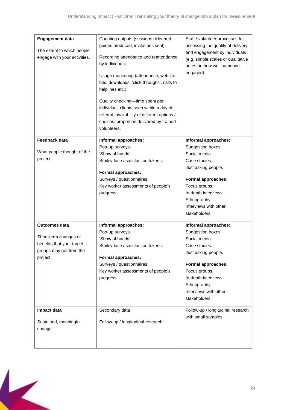| <b>Engagement data</b><br>The extent to which people<br>engage with your activities. | Counting outputs (sessions delivered,<br>guides produced, invitations sent).<br>Recording attendance and reattendance<br>by individuals.<br>Usage monitoring (attendance, website<br>hits, downloads, 'click throughs', calls to<br>helplines etc.).<br>Quality checking-time spent per<br>individual, clients seen within a day of<br>referral, availability of different options /<br>choices, proportion delivered by trained<br>volunteers. | Staff / volunteer processes for<br>assessing the quality of delivery<br>and engagement by individuals<br>(e.g. simple scales or qualitative<br>notes on how well someone<br>engaged). |
|--------------------------------------------------------------------------------------|-------------------------------------------------------------------------------------------------------------------------------------------------------------------------------------------------------------------------------------------------------------------------------------------------------------------------------------------------------------------------------------------------------------------------------------------------|---------------------------------------------------------------------------------------------------------------------------------------------------------------------------------------|
| Feedback data                                                                        | Informal approaches:                                                                                                                                                                                                                                                                                                                                                                                                                            | Informal approaches:                                                                                                                                                                  |
|                                                                                      | Pop-up surveys.                                                                                                                                                                                                                                                                                                                                                                                                                                 | Suggestion boxes.                                                                                                                                                                     |
| What people thought of the                                                           | 'Show of hands'.                                                                                                                                                                                                                                                                                                                                                                                                                                | Social media.                                                                                                                                                                         |
| project.                                                                             | Smiley face / satisfaction tokens.                                                                                                                                                                                                                                                                                                                                                                                                              | Case studies.                                                                                                                                                                         |
|                                                                                      |                                                                                                                                                                                                                                                                                                                                                                                                                                                 | Just asking people.                                                                                                                                                                   |
|                                                                                      | <b>Formal approaches:</b>                                                                                                                                                                                                                                                                                                                                                                                                                       |                                                                                                                                                                                       |
|                                                                                      | Surveys / questionnaires.                                                                                                                                                                                                                                                                                                                                                                                                                       | <b>Formal approaches:</b>                                                                                                                                                             |
|                                                                                      | Key worker assessments of people's                                                                                                                                                                                                                                                                                                                                                                                                              | Focus groups.                                                                                                                                                                         |
|                                                                                      | progress.                                                                                                                                                                                                                                                                                                                                                                                                                                       | In-depth interviews.                                                                                                                                                                  |
|                                                                                      |                                                                                                                                                                                                                                                                                                                                                                                                                                                 | Ethnography.                                                                                                                                                                          |
|                                                                                      |                                                                                                                                                                                                                                                                                                                                                                                                                                                 | Interviews with other                                                                                                                                                                 |
|                                                                                      |                                                                                                                                                                                                                                                                                                                                                                                                                                                 | stakeholders.                                                                                                                                                                         |
| <b>Outcomes data</b>                                                                 | Informal approaches:                                                                                                                                                                                                                                                                                                                                                                                                                            | Informal approaches:                                                                                                                                                                  |
|                                                                                      | Pop-up surveys.                                                                                                                                                                                                                                                                                                                                                                                                                                 | Suggestion boxes.                                                                                                                                                                     |
| Short-term changes or                                                                | 'Show of hands'.                                                                                                                                                                                                                                                                                                                                                                                                                                | Social media.                                                                                                                                                                         |
| benefits that your target                                                            | Smiley face / satisfaction tokens.                                                                                                                                                                                                                                                                                                                                                                                                              | Case studies.                                                                                                                                                                         |
| groups may get from the                                                              | <b>Formal approaches:</b>                                                                                                                                                                                                                                                                                                                                                                                                                       | Just asking people.                                                                                                                                                                   |
| project.                                                                             | Surveys / questionnaires.                                                                                                                                                                                                                                                                                                                                                                                                                       | <b>Formal approaches:</b>                                                                                                                                                             |
|                                                                                      | Key worker assessments of people's                                                                                                                                                                                                                                                                                                                                                                                                              | Focus groups.                                                                                                                                                                         |
|                                                                                      | progress.                                                                                                                                                                                                                                                                                                                                                                                                                                       | In-depth interviews.                                                                                                                                                                  |
|                                                                                      |                                                                                                                                                                                                                                                                                                                                                                                                                                                 | Ethnography.                                                                                                                                                                          |
|                                                                                      |                                                                                                                                                                                                                                                                                                                                                                                                                                                 | Interviews with other                                                                                                                                                                 |
|                                                                                      |                                                                                                                                                                                                                                                                                                                                                                                                                                                 | stakeholders.                                                                                                                                                                         |
|                                                                                      |                                                                                                                                                                                                                                                                                                                                                                                                                                                 |                                                                                                                                                                                       |
| Impact data                                                                          | Secondary data                                                                                                                                                                                                                                                                                                                                                                                                                                  | Follow-up / longitudinal research                                                                                                                                                     |
|                                                                                      |                                                                                                                                                                                                                                                                                                                                                                                                                                                 | with small samples.                                                                                                                                                                   |
| Sustained, meaningful                                                                | Follow-up / longitudinal research.                                                                                                                                                                                                                                                                                                                                                                                                              |                                                                                                                                                                                       |
| change.                                                                              |                                                                                                                                                                                                                                                                                                                                                                                                                                                 |                                                                                                                                                                                       |
|                                                                                      |                                                                                                                                                                                                                                                                                                                                                                                                                                                 |                                                                                                                                                                                       |
|                                                                                      |                                                                                                                                                                                                                                                                                                                                                                                                                                                 |                                                                                                                                                                                       |

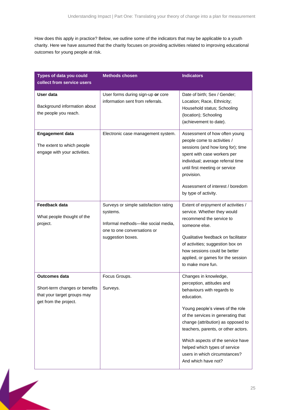How does this apply in practice? Below, we outline some of the indicators that may be applicable to a youth charity. Here we have assumed that the charity focuses on providing activities related to improving educational outcomes for young people at risk.

| Types of data you could<br>collect from service users                                                            | <b>Methods chosen</b>                                                                                                                        | <b>Indicators</b>                                                                                                                                                                                                                                                                                                                                                                   |
|------------------------------------------------------------------------------------------------------------------|----------------------------------------------------------------------------------------------------------------------------------------------|-------------------------------------------------------------------------------------------------------------------------------------------------------------------------------------------------------------------------------------------------------------------------------------------------------------------------------------------------------------------------------------|
| User data<br>Background information about<br>the people you reach.                                               | User forms during sign-up or core<br>information sent from referrals.                                                                        | Date of birth; Sex / Gender;<br>Location; Race, Ethnicity;<br>Household status; Schooling<br>(location); Schooling<br>(achievement to date).                                                                                                                                                                                                                                        |
| <b>Engagement data</b><br>The extent to which people<br>engage with your activities.                             | Electronic case management system.                                                                                                           | Assessment of how often young<br>people come to activities /<br>sessions (and how long for); time<br>spent with case workers per<br>individual; average referral time<br>until first meeting or service<br>provision.<br>Assessment of interest / boredom<br>by type of activity.                                                                                                   |
| Feedback data<br>What people thought of the<br>project.                                                          | Surveys or simple satisfaction rating<br>systems.<br>Informal methods-like social media,<br>one to one conversations or<br>suggestion boxes. | Extent of enjoyment of activities /<br>service. Whether they would<br>recommend the service to<br>someone else.<br>Qualitative feedback on facilitator<br>of activities; suggestion box on<br>how sessions could be better<br>applied, or games for the session<br>to make more fun.                                                                                                |
| <b>Outcomes data</b><br>Short-term changes or benefits  <br>that your target groups may<br>get from the project. | Focus Groups.<br>Surveys.                                                                                                                    | Changes in knowledge,<br>perception, attitudes and<br>behaviours with regards to<br>education.<br>Young people's views of the role<br>of the services in generating that<br>change (attribution) as opposed to<br>teachers, parents, or other actors.<br>Which aspects of the service have<br>helped which types of service<br>users in which circumstances?<br>And which have not? |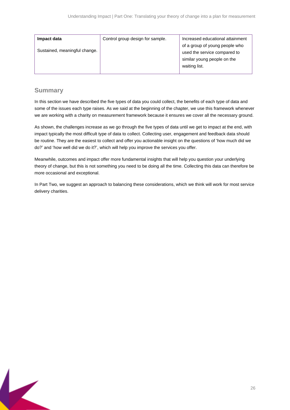| Impact data                   | Control group design for sample. | Increased educational attainment |
|-------------------------------|----------------------------------|----------------------------------|
| Sustained, meaningful change. |                                  | of a group of young people who   |
|                               |                                  | used the service compared to     |
|                               |                                  | similar young people on the      |
|                               |                                  | waiting list.                    |
|                               |                                  |                                  |

## <span id="page-25-0"></span>**Summary**

In this section we have described the five types of data you could collect, the benefits of each type of data and some of the issues each type raises. As we said at the beginning of the chapter, we use this framework whenever we are working with a charity on measurement framework because it ensures we cover all the necessary ground.

As shown, the challenges increase as we go through the five types of data until we get to impact at the end, with impact typically the most difficult type of data to collect. Collecting user, engagement and feedback data should be routine. They are the easiest to collect and offer you actionable insight on the questions of 'how much did we do?' and 'how well did we do it?', which will help you improve the services you offer.

Meanwhile, outcomes and impact offer more fundamental insights that will help you question your underlying theory of change, but this is not something you need to be doing all the time. Collecting this data can therefore be more occasional and exceptional.

In Part Two, we suggest an approach to balancing these considerations, which we think will work for most service delivery charities.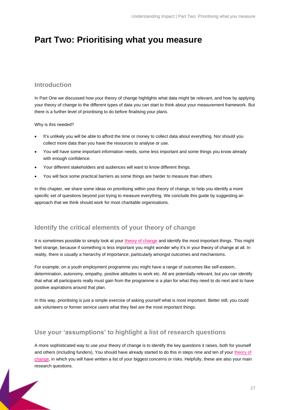## <span id="page-26-0"></span>**Part Two: Prioritising what you measure**

## <span id="page-26-1"></span>**Introduction**

In Part One we discussed how your theory of change highlights what data might be relevant, and how by applying your theory of change to the different types of data you can start to think about your measurement framework. But there is a further level of prioritising to do before finalising your plans.

Why is this needed?

- It's unlikely you will be able to afford the time or money to collect data about everything. Nor should you collect more data than you have the resources to analyse or use.
- You will have some important information needs, some less important and some things you know already with enough confidence.
- Your different stakeholders and audiences will want to know different things.
- You will face some practical barriers as some things are harder to measure than others.

In this chapter, we share some ideas on prioritising within your theory of change, to help you identify a more specific set of questions beyond just trying to measure everything. We conclude this quide by suggesting an approach that we think should work for most charitable organisations.

## <span id="page-26-2"></span>**Identify the critical elements of your theory of change**

It is sometimes possible to simply look at your [theory of change](https://www.thinknpc.org/resource-hub/ten-steps/) and identify the most important things. This might feel strange, because if something is less important you might wonder why it's in your theory of change at all. In reality, there is usually a hierarchy of importance, particularly amongst outcomes and mechanisms.

For example, on a youth employment programme you might have a range of outcomes like self-esteem, determination, autonomy, empathy, positive attitudes to work etc. All are potentially relevant, but you can identify that what all participants really must gain from the programme is a plan for what they need to do next and to have positive aspirations around that plan.

In this way, prioritising is just a simple exercise of asking yourself what is most important. Better still, you could ask volunteers or former service users what they feel are the most important things.

## <span id="page-26-3"></span>**Use your 'assumptions' to highlight a list of research questions**

A more sophisticated way to use your theory of change is to identify the key questions it raises, both for yourself and others (including funders). You should have already started to do this in steps nine and ten of your [theory of](https://www.thinknpc.org/resource-hub/ten-steps/)  [change,](https://www.thinknpc.org/resource-hub/ten-steps/) in which you will have written a list of your biggest concerns or risks. Helpfully, these are also your main research questions.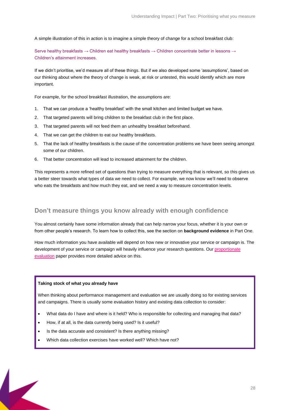A simple illustration of this in action is to imagine a simple theory of change for a school breakfast club:

Serve healthy breakfasts → Children eat healthy breakfasts → Children concentrate better in lessons → Children's attainment increases.

If we didn't prioritise, we'd measure all of these things. But if we also developed some 'assumptions', based on our thinking about where the theory of change is weak, at risk or untested, this would identify which are more important.

For example, for the school breakfast illustration, the assumptions are:

- 1. That we can produce a 'healthy breakfast' with the small kitchen and limited budget we have.
- 2. That targeted parents will bring children to the breakfast club in the first place.
- 3. That targeted parents will not feed them an unhealthy breakfast beforehand.
- 4. That we can get the children to eat our healthy breakfasts.
- 5. That the lack of healthy breakfasts is the cause of the concentration problems we have been seeing amongst some of our children.
- 6. That better concentration will lead to increased attainment for the children.

This represents a more refined set of questions than trying to measure everything that is relevant, so this gives us a better steer towards what types of data we need to collect. For example, we now know we'll need to observe who eats the breakfasts and how much they eat, and we need a way to measure concentration levels.

### <span id="page-27-0"></span>**Don't measure things you know already with enough confidence**

You almost certainly have some information already that can help narrow your focus, whether it is your own or from other people's research. To learn how to collect this, see the section on **background evidence** in Part One.

How much information you have available will depend on how new or innovative your service or campaign is. The development of your service or campaign will heavily influence your research questions. Ou[r proportionate](https://www.thinknpc.org/resource-hub/balancing-act-a-guide-to-proportionate-evaluation/)  [evaluation](https://www.thinknpc.org/resource-hub/balancing-act-a-guide-to-proportionate-evaluation/) paper provides more detailed advice on this.

#### **Taking stock of what you already have**

When thinking about performance management and evaluation we are usually doing so for existing services and campaigns. There is usually some evaluation history and existing data collection to consider:

- What data do I have and where is it held? Who is responsible for collecting and managing that data?
- How, if at all, is the data currently being used? Is it useful?
- Is the data accurate and consistent? Is there anything missing?
- Which data collection exercises have worked well? Which have not?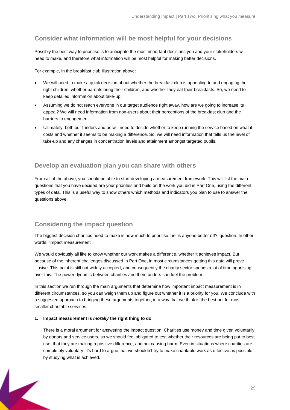## <span id="page-28-0"></span>**Consider what information will be most helpful for your decisions**

Possibly the best way to prioritise is to anticipate the most important decisions you and your stakeholders will need to make, and therefore what information will be most helpful for making better decisions.

For example, in the breakfast club illustration above:

- We will need to make a quick decision about whether the breakfast club is appealing to and engaging the right children, whether parents bring their children, and whether they eat their breakfasts. So, we need to keep detailed information about take-up.
- Assuming we do not reach everyone in our target audience right away, how are we going to increase its appeal? We will need information from non-users about their perceptions of the breakfast club and the barriers to engagement.
- Ultimately, both our funders and us will need to decide whether to keep running the service based on what it costs and whether it seems to be making a difference. So, we will need information that tells us the level of take-up and any changes in concentration levels and attainment amongst targeted pupils.

## <span id="page-28-1"></span>**Develop an evaluation plan you can share with others**

From all of the above, you should be able to start developing a measurement framework. This will list the main questions that you have decided are your priorities and build on the work you did in Part One, using the different types of data. This is a useful way to show others which methods and indicators you plan to use to answer the questions above.

## <span id="page-28-2"></span>**Considering the impact question**

The biggest decision charities need to make is how much to prioritise the 'is anyone better off?' question. In other words: 'impact measurement'.

We would obviously all like to know whether our work makes a difference, whether it achieves impact. But because of the inherent challenges discussed in Part One, in most circumstances getting this data will prove illusive. This point is still not widely accepted, and consequently the charity sector spends a lot of time agonising over this. The power dynamic between charities and their funders can fuel the problem.

In this section we run through the main arguments that determine how important impact measurement is in different circumstances, so you can weigh them up and figure out whether it is a priority for you. We conclude with a suggested approach to bringing these arguments together, in a way that we think is the best bet for most smaller charitable services.

#### **1. Impact measurement is** *morally* **the right thing to do**

There is a moral argument for answering the impact question. Charities use money and time given voluntarily by donors and service users, so we should feel obligated to test whether their resources are being put to best use, that they are making a positive difference, and not causing harm. Even in situations where charities are completely voluntary, it's hard to argue that we shouldn't try to make charitable work as effective as possible by studying what is achieved.

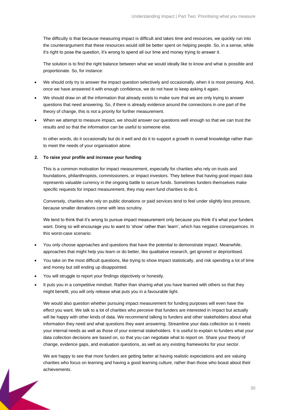The difficulty is that because measuring impact is difficult and takes time and resources, we quickly run into the counterargument that these resources would still be better spent on helping people. So, in a sense, while it's right to pose the question, it's wrong to spend all our time and money trying to answer it.

The solution is to find the right balance between what we would ideally like to know and what is possible and proportionate. So, for instance:

- We should only try to answer the impact question selectively and occasionally, when it is most pressing. And, once we have answered it with enough confidence, we do not have to keep asking it again.
- We should draw on all the information that already exists to make sure that we are only trying to answer questions that need answering. So, if there is already evidence around the connections in one part of the theory of change, this is not a priority for further measurement.
- When we attempt to measure impact, we should answer our questions well enough so that we can trust the results and so that the information can be useful to someone else.

In other words, do it occasionally but do it well and do it to support a growth in overall knowledge rather than to meet the needs of your organisation alone.

#### **2. To raise your profile and increase your funding**

This is a common motivation for impact measurement, especially for charities who rely on trusts and foundations, philanthropists, commissioners, or impact investors. They believe that having good impact data represents valuable currency in the ongoing battle to secure funds. Sometimes funders themselves make specific requests for impact measurement, they may even fund charities to do it.

Conversely, charities who rely on public donations or paid services tend to feel under slightly less pressure, because smaller donations come with less scrutiny.

We tend to think that it's wrong to pursue impact measurement only because you think it's what your funders want. Doing so will encourage you to want to 'show' rather than 'learn', which has negative consequences. In this worst-case scenario:

- You only choose approaches and questions that have the potential to demonstrate impact. Meanwhile, approaches that might help you learn or do better, like qualitative research, get ignored or deprioritised.
- You take on the most difficult questions, like trying to show impact statistically, and risk spending a lot of time and money but still ending up disappointed.
- You will struggle to report your findings objectively or honestly.
- It puts you in a competitive mindset. Rather than sharing what you have learned with others so that they might benefit, you will only release what puts you in a favourable light.

We would also question whether pursuing impact measurement for funding purposes will even have the effect you want. We talk to a lot of charities who *perceive* that funders are interested in impact but actually will be happy with other kinds of data. We recommend talking to funders and other stakeholders about what information they need and what questions they want answering. Streamline your data collection so it meets your internal needs as well as those of your external stakeholders. It is useful to explain to funders what your data collection decisions are based on, so that you can negotiate what to report on. Share your theory of change, evidence gaps, and evaluation questions, as well as any existing frameworks for your sector.

We are happy to see that more funders are getting better at having realistic expectations and are valuing charities who focus on learning and having a good learning culture, rather than those who boast about their achievements.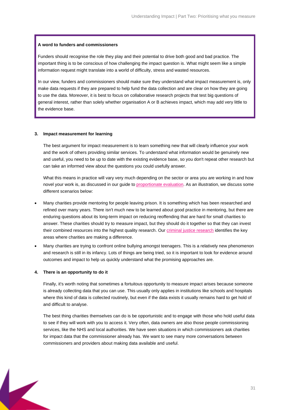#### **A word to funders and commissioners**

Funders should recognise the role they play and their potential to drive both good and bad practice. The important thing is to be conscious of how challenging the impact question is. What might seem like a simple information request might translate into a world of difficulty, stress and wasted resources.

In our view, funders and commissioners should make sure they understand what impact measurement is, only make data requests if they are prepared to help fund the data collection and are clear on how they are going to use the data. Moreover, it is best to focus on collaborative research projects that test big questions of general interest, rather than solely whether organisation A or B achieves impact, which may add very little to the evidence base.

#### **3. Impact measurement for learning**

The best argument for impact measurement is to learn something new that will clearly influence your work and the work of others providing similar services. To understand what information would be genuinely new and useful, you need to be up to date with the existing evidence base, so you don't repeat other research but can take an informed view about the questions you could usefully answer.

What this means in practice will vary very much depending on the sector or area you are working in and how novel your work is, as discussed in our guide to [proportionate evaluation.](https://www.thinknpc.org/resource-hub/balancing-act-a-guide-to-proportionate-evaluation/) As an illustration, we discuss some different scenarios below:

- Many charities provide mentoring for people leaving prison. It is something which has been researched and refined over many years. There isn't much new to be learned about good practice in mentoring, but there are enduring questions about its long-term impact on reducing reoffending that are hard for small charities to answer. These charities should try to measure impact, but they should do it together so that they can invest their combined resources into the highest quality research. Our [criminal justice research](https://www.thinknpc.org/themes/explore-causes-and-issues/criminal-justice-and-charities/) identifies the key areas where charities are making a difference.
- Many charities are trying to confront online bullying amongst teenagers. This is a relatively new phenomenon and research is still in its infancy. Lots of things are being tried, so it is important to look for evidence around outcomes and impact to help us quickly understand what the promising approaches are.

#### **4. There is an opportunity to do it**

Finally, it's worth noting that sometimes a fortuitous opportunity to measure impact arises because someone is already collecting data that you can use. This usually only applies in institutions like schools and hospitals where this kind of data is collected routinely, but even if the data exists it usually remains hard to get hold of and difficult to analyse.

The best thing charities themselves can do is be opportunistic and to engage with those who hold useful data to see if they will work with you to access it. Very often, data owners are also those people commissioning services, like the NHS and local authorities. We have seen situations in which commissioners ask charities for impact data that the commissioner already has. We want to see many more conversations between commissioners and providers about making data available and useful.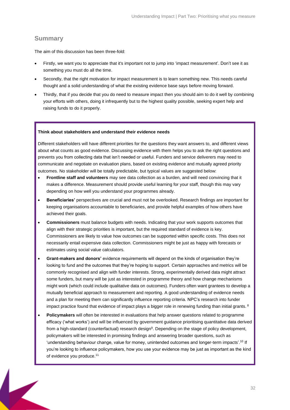### <span id="page-31-0"></span>**Summary**

The aim of this discussion has been three-fold:

- Firstly, we want you to appreciate that it's important not to jump into 'impact measurement'. Don't see it as something you must do all the time.
- Secondly, that the right motivation for impact measurement is to learn something new. This needs careful thought and a solid understanding of what the existing evidence base says before moving forward.
- Thirdly, that if you decide that you do need to measure impact then you should aim to do it well by combining your efforts with others, doing it infrequently but to the highest quality possible, seeking expert help and raising funds to do it properly.

#### **Think about stakeholders and understand their evidence needs**

Different stakeholders will have different priorities for the questions they want answers to, and different views about what counts as good evidence. Discussing evidence with them helps you to ask the right questions and prevents you from collecting data that isn't needed or useful. Funders and service deliverers may need to communicate and negotiate on evaluation plans, based on existing evidence and mutually agreed priority outcomes. No stakeholder will be totally predictable, but typical values are suggested below:

- **Frontline staff and volunteers** may see data collection as a burden, and will need convincing that it makes a difference. Measurement should provide useful learning for your staff, though this may vary depending on how well you understand your programmes already.
- **Beneficiaries'** perspectives are crucial and must not be overlooked. Research findings are important for keeping organisations accountable to beneficiaries, and provide helpful examples of how others have achieved their goals.
- **Commissioners** must balance budgets with needs. Indicating that your work supports outcomes that align with their strategic priorities is important, but the required standard of evidence is key. Commissioners are likely to value how outcomes can be supported within specific costs. This does not necessarily entail expensive data collection. Commissioners might be just as happy with forecasts or estimates using social value calculators.
- **Grant-makers and donors'** evidence requirements will depend on the kinds of organisation they're looking to fund and the outcomes that they're hoping to support. Certain approaches and metrics will be commonly recognised and align with funder interests. Strong, experimentally derived data might attract some funders, but many will be just as interested in programme theory and how change mechanisms might work (which could include qualitative data on outcomes). Funders often want grantees to develop a mutually beneficial approach to measurement and reporting. A good understanding of evidence needs and a plan for meeting them can significantly influence reporting criteria. NPC's research into funder impact practice found that evidence of impact plays a bigger role in renewing funding than initial grants.  $8$
- **Policymakers** will often be interested in evaluations that help answer questions related to programme efficacy ('what works') and will be influenced by government guidance prioritising quantitative data derived from a high-standard (counterfactual) research design<sup>9</sup>. Depending on the stage of policy development, policymakers will be interested in promising findings and answering broader questions, such as 'understanding behaviour change, value for money, unintended outcomes and longer-term impacts'.<sup>10</sup> If you're looking to influence policymakers, how you use your evidence may be just as important as the kind of evidence you produce.<sup>11</sup>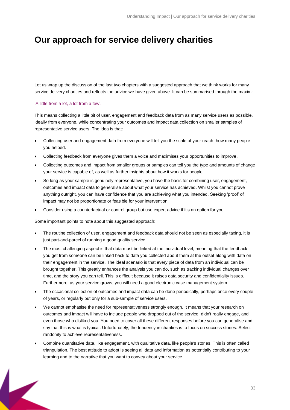## <span id="page-32-0"></span>**Our approach for service delivery charities**

Let us wrap up the discussion of the last two chapters with a suggested approach that we think works for many service delivery charities and reflects the advice we have given above. It can be summarised through the maxim:

#### 'A little from a lot, a lot from a few'.

This means collecting a little bit of user, engagement and feedback data from as many service users as possible, ideally from everyone, while concentrating your outcomes and impact data collection on smaller samples of representative service users. The idea is that:

- Collecting user and engagement data from everyone will tell you the scale of your reach, how many people you helped.
- Collecting feedback from everyone gives them a voice and maximises your opportunities to improve.
- Collecting outcomes and impact from smaller groups or samples can tell you the type and amounts of change your service is capable of, as well as further insights about how it works for people.
- So long as your sample is genuinely representative, you have the basis for combining user, engagement, outcomes and impact data to generalise about what your service has achieved. Whilst you cannot prove anything outright, you can have confidence that you are achieving what you intended. Seeking 'proof' of impact may not be proportionate or feasible for your intervention.
- Consider using a counterfactual or control group but use expert advice if it's an option for you.

Some important points to note about this suggested approach:

- The routine collection of user, engagement and feedback data should not be seen as especially taxing, it is just part-and-parcel of running a good quality service.
- The most challenging aspect is that data must be linked at the individual level, meaning that the feedback you get from someone can be linked back to data you collected about them at the outset along with data on their engagement in the service. The ideal scenario is that every piece of data from an individual can be brought together. This greatly enhances the analysis you can do, such as tracking individual changes over time, and the story you can tell. This is difficult because it raises data security and confidentiality issues. Furthermore, as your service grows, you will need a good electronic case management system.
- The occasional collection of outcomes and impact data can be done periodically, perhaps once every couple of years, or regularly but only for a sub-sample of service users.
- We cannot emphasise the need for representativeness strongly enough. It means that your research on outcomes and impact will have to include people who dropped out of the service, didn't really engage, and even those who disliked you. You need to cover all these different responses before you can generalise and say that this is what is typical. Unfortunately, the tendency in charities is to focus on success stories. Select randomly to achieve representativeness.
- Combine quantitative data, like engagement, with qualitative data, like people's stories. This is often called triangulation. The best attitude to adopt is seeing all data and information as potentially contributing to your learning and to the narrative that you want to convey about your service.

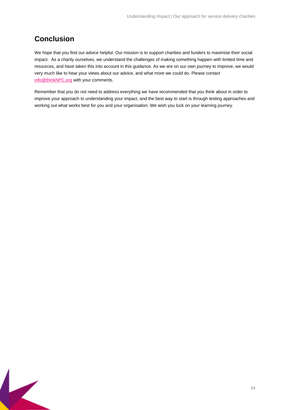## <span id="page-33-0"></span>**Conclusion**

 $\overline{\mathbf{K}}$ 

We hope that you find our advice helpful. Our mission is to support charities and funders to [maximise their social](https://www.thinknpc.org/about-npc/our-impact/increasing-charity-effectiveness/)  [impact.](https://www.thinknpc.org/about-npc/our-impact/increasing-charity-effectiveness/) As a charity ourselves, [we understand the challenges](https://www.thinknpc.org/what-we-do/challenge-and-inspire-the-sector/) of making something happen with limited time and resources, and have taken this into account in this guidance. As we are on our own journey to improve, we would very much like to hear your views about our advice, and what more we could do. Please contact [info@thinkNPC.org](mailto:info@thinkNPC.org) with your comments.

Remember that you do not need to address everything we have recommended that you think about in order to improve your approach to understanding your impact, and the best way to start is through testing approaches and working out what works best for you and your organisation. We wish you luck on your learning journey.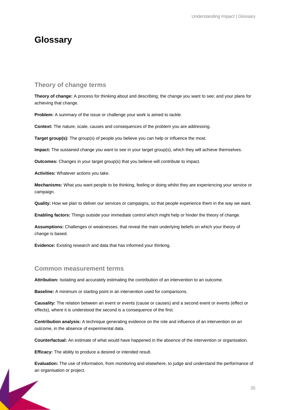## <span id="page-34-0"></span>**Glossary**

### <span id="page-34-1"></span>**Theory of change terms**

**Theory of change:** A process for thinking about and describing; the change you want to see; and your plans for achieving that change.

**Problem:** A summary of the issue or challenge your work is aimed to tackle.

**Context:** The nature, scale, causes and consequences of the problem you are addressing.

**Target group(s):** The group(s) of people you believe you can help or influence the most.

**Impact:** The sustained change you want to see in your target group(s), which they will achieve themselves.

**Outcomes:** Changes in your target group(s) that you believe will contribute to impact.

**Activities:** Whatever actions you take.

**Mechanisms:** What you want people to be thinking, feeling or doing whilst they are experiencing your service or campaign.

**Quality:** How we plan to deliver our services or campaigns, so that people experience them in the way we want.

**Enabling factors:** Things outside your immediate control which might help or hinder the theory of change.

**Assumptions:** Challenges or weaknesses, that reveal the main underlying beliefs on which your theory of change is based.

**Evidence:** Existing research and data that has informed your thinking.

#### <span id="page-34-2"></span>**Common measurement terms**

**Attribution:** Isolating and accurately estimating the contribution of an intervention to an outcome.

**Baseline:** A minimum or starting point in an intervention used for comparisons.

**Causality:** The relation between an event or events (cause or causes) and a second event or events (effect or effects), where it is understood the second is a consequence of the first.

**Contribution analysis:** A technique generating evidence on the role and influence of an intervention on an outcome, in the absence of experimental data.

**Counterfactual:** An estimate of what would have happened in the absence of the intervention or organisation.

**Efficacy:** The ability to produce a desired or intended result.

**Evaluation:** The use of information, from monitoring and elsewhere, to judge and understand the performance of an organisation or project.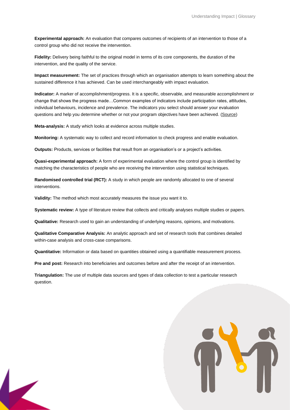**Experimental approach:** An evaluation that compares outcomes of recipients of an intervention to those of a control group who did not receive the intervention.

**Fidelity:** Delivery being faithful to the original model in terms of its core components, the duration of the intervention, and the quality of the service.

**Impact measurement:** The set of practices through which an organisation attempts to learn something about the sustained difference it has achieved. Can be used interchangeably with impact evaluation.

**Indicator:** A marker of accomplishment/progress. It is a specific, observable, and measurable accomplishment or change that shows the progress made…Common examples of indicators include participation rates, attitudes, individual behaviours, incidence and prevalence. The indicators you select should answer your evaluation questions and help you determine whether or not your program objectives have been achieved. [\(Source\)](https://www.cdc.gov/std/Program/pupestd/Developing%20Evaluation%20Indicators.pdf)

**Meta-analysis:** A study which looks at evidence across multiple studies.

**Monitoring:** A systematic way to collect and record information to check progress and enable evaluation.

**Outputs:** Products, services or facilities that result from an organisation's or a project's activities.

**Quasi-experimental approach:** A form of experimental evaluation where the control group is identified by matching the characteristics of people who are receiving the intervention using statistical techniques.

**Randomised controlled trial (RCT):** A study in which people are randomly allocated to one of several interventions.

**Validity:** The method which most accurately measures the issue you want it to.

**Systematic review:** A type of literature review that collects and critically analyses multiple studies or papers.

**Qualitative:** Research used to gain an understanding of underlying reasons, opinions, and motivations.

**Qualitative Comparative Analysis:** An analytic approach and set of research tools that combines detailed within-case analysis and cross-case comparisons.

**Quantitative:** Information or data based on quantities obtained using a quantifiable measurement process.

**Pre and post:** Research into beneficiaries and outcomes before and after the receipt of an intervention.

**Triangulation:** The use of multiple data sources and types of data collection to test a particular research question.

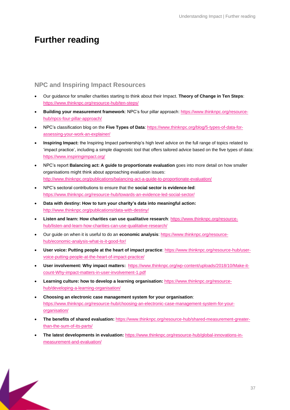## <span id="page-36-0"></span>**Further reading**

## <span id="page-36-1"></span>**NPC and Inspiring Impact Resources**

- Our guidance for smaller charities starting to think about their Impact. **Theory of Change in Ten Steps**: <https://www.thinknpc.org/resource-hub/ten-steps/>
- **Building your measurement framework**: NPC's four pillar approach: [https://www.thinknpc.org/resource](https://www.thinknpc.org/resource-hub/npcs-four-pillar-approach/)[hub/npcs-four-pillar-approach/](https://www.thinknpc.org/resource-hub/npcs-four-pillar-approach/)
- NPC's classification blog on the **Five Types of Data**: [https://www.thinknpc.org/blog/5-types-of-data-for](https://www.thinknpc.org/blog/5-types-of-data-for-assessing-your-work-an-explainer/)[assessing-your-work-an-explainer/](https://www.thinknpc.org/blog/5-types-of-data-for-assessing-your-work-an-explainer/)
- **Inspiring Impact:** the Inspiring Impact partnership's high level advice on the full range of topics related to 'impact practice', including a simple diagnostic tool that offers tailored advice based on the five types of data: <https://www.inspiringimpact.org/>
- NPC's report **Balancing act: A guide to proportionate evaluation** goes into more detail on how smaller organisations might think about approaching evaluation issues: <http://www.thinknpc.org/publications/balancing-act-a-guide-to-proportionate-evaluation/>
- NPC's sectoral contributions to ensure that the **social sector is evidence-led**: <https://www.thinknpc.org/resource-hub/towards-an-evidence-led-social-sector/>
- **Data with destiny: How to turn your charity's data into meaningful action:** <http://www.thinknpc.org/publications/data-with-destiny/>
- **Listen and learn: How charities can use qualitative research**: [https://www.thinknpc.org/resource](https://www.thinknpc.org/resource-hub/listen-and-learn-how-charities-can-use-qualitative-research/)[hub/listen-and-learn-how-charities-can-use-qualitative-research/](https://www.thinknpc.org/resource-hub/listen-and-learn-how-charities-can-use-qualitative-research/)
- Our guide on when it is useful to do an **economic analysis**: [https://www.thinknpc.org/resource](https://www.thinknpc.org/resource-hub/economic-analysis-what-is-it-good-for/)[hub/economic-analysis-what-is-it-good-for/](https://www.thinknpc.org/resource-hub/economic-analysis-what-is-it-good-for/)
- **User voice: Putting people at the heart of impact practice**: [https://www.thinknpc.org/resource-hub/user](https://www.thinknpc.org/resource-hub/user-voice-putting-people-at-the-heart-of-impact-practice/)[voice-putting-people-at-the-heart-of-impact-practice/](https://www.thinknpc.org/resource-hub/user-voice-putting-people-at-the-heart-of-impact-practice/)
- **User involvement: Why impact matters:** [https://www.thinknpc.org/wp-content/uploads/2018/10/Make-it](https://www.thinknpc.org/wp-content/uploads/2018/10/Make-it-count-Why-impact-matters-in-user-involvement-1.pdf)[count-Why-impact-matters-in-user-involvement-1.pdf](https://www.thinknpc.org/wp-content/uploads/2018/10/Make-it-count-Why-impact-matters-in-user-involvement-1.pdf)
- **Learning culture: how to develop a learning organisation:** [https://www.thinknpc.org/resource](https://www.thinknpc.org/resource-hub/developing-a-learning-organisation/)[hub/developing-a-learning-organisation/](https://www.thinknpc.org/resource-hub/developing-a-learning-organisation/)
- **Choosing an electronic case management system for your organisation**: [https://www.thinknpc.org/resource-hub/choosing-an-electronic-case-management-system-for-your](https://www.thinknpc.org/resource-hub/choosing-an-electronic-case-management-system-for-your-organisation/)[organisation/](https://www.thinknpc.org/resource-hub/choosing-an-electronic-case-management-system-for-your-organisation/)
- **The benefits of shared evaluation:** [https://www.thinknpc.org/resource-hub/shared-measurement-greater](https://www.thinknpc.org/resource-hub/shared-measurement-greater-than-the-sum-of-its-parts/)[than-the-sum-of-its-parts/](https://www.thinknpc.org/resource-hub/shared-measurement-greater-than-the-sum-of-its-parts/)
- <span id="page-36-2"></span>• **The latest developments in evaluation:** [https://www.thinknpc.org/resource-hub/global-innovations-in](https://www.thinknpc.org/resource-hub/global-innovations-in-measurement-and-evaluation/)[measurement-and-evaluation/](https://www.thinknpc.org/resource-hub/global-innovations-in-measurement-and-evaluation/)

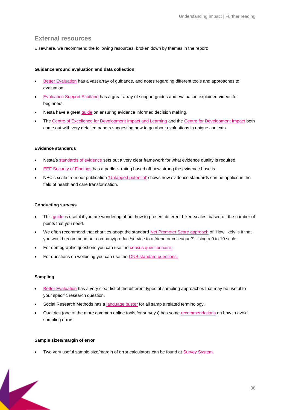## **External resources**

Elsewhere, we recommend the following resources, broken down by themes in the report:

#### **Guidance around evaluation and data collection**

- [Better Evaluation](http://www.betterevaluation.org/) has a vast array of guidance, and notes regarding different tools and approaches to evaluation.
- [Evaluation Support Scotland](http://www.evaluationsupportscotland.org.uk/resources/) has a great array of support guides and evaluation explained videos for beginners.
- Nesta have a grea[t guide](http://www.nesta.org.uk/publications/using-research-evidence-practice-guide) on ensuring evidence informed decision making.
- The [Centre of Excellence for Development Impact and Learning](https://cedilprogramme.org/) and the [Centre for Development Impact](https://www.cdimpact.org/) both come out with very detailed papers suggesting how to go about evaluations in unique contexts.

#### **Evidence standards**

- Nesta's [standards of evidence](https://media.nesta.org.uk/documents/standards_of_evidence.pdf) sets out a very clear framework for what evidence quality is required.
- [EEF Security of Findings](https://educationendowmentfoundation.org.uk/evidence-summaries/about-the-toolkits/evidence-strength/) has a padlock rating based off how strong the evidence base is.
- NPC's scale from our publication ['Untapped potential'](https://richmondgroupofcharities.org.uk/sites/default/files/aw_ncp_report_-_untapping_potential_summary_-_single_pages.pdf) shows how evidence standards can be applied in the field of health and care transformation.

#### **Conducting surveys**

- This [guide](https://www.extension.iastate.edu/Documents/ANR/LikertScaleExamplesforSurveys.pdf) is useful if you are wondering about how to present different Likert scales, based off the number of points that you need.
- We often recommend that charities adopt the standar[d Net Promoter Score approach](https://en.wikipedia.org/wiki/Net_Promoter) of 'How likely is it that you would recommend our company/product/service to a friend or colleague?' Using a 0 to 10 scale.
- For demographic questions you can use the [census questionnaire.](http://www.ons.gov.uk/ons/guide-method/census/2011/the-2011-census/2011-census-questionnaire-content/2011-census-questionnaire-for-england.pdf)
- For questions on wellbeing you can use the [ONS standard questions.](http://www.ons.gov.uk/ons/dcp171778_328486.pdf)

#### **Sampling**

- [Better Evaluation](http://betterevaluation.org/plan/describe/sample) has a very clear list of the different types of sampling approaches that may be useful to your specific research question.
- Social Research Methods has a [language buster](http://www.socialresearchmethods.net/kb/sampterm.php) for all sample related terminology.
- Qualtrics (one of the more common online tools for surveys) has som[e recommendations](http://qualtrics.com/wp-content/uploads/2013/05/Sampling.pdf) on how to avoid sampling errors.

#### **Sample sizes/margin of error**

• Two very useful sample size/margin of error calculators can be found at Survey [System.](mailto:http://www.surveysystem.com/sscalc.htm)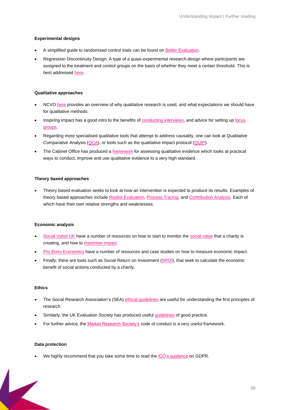#### **Experimental designs**

- A simplified guide to randomised control trials can be found o[n Better Evaluation.](https://www.betterevaluation.org/)
- Regression Discontinuity Design: A type of a quasi-experimental research design where participants are assigned to the treatment and control groups on the basis of whether they meet a certain threshold. This is best addressed [here.](https://www.betterevaluation.org/en/evaluation-options/regressiondiscontinuity)

#### **Qualitative approaches**

- NCVO [here](https://blogs.ncvo.org.uk/wp-content/uploads/sally-cupitt/qualitative-methods-of-assessing-impact.pdf) provides an overview of why qualitative research is used, and what expectations we should have for qualitative methods.
- Inspiring Impact has a good intro to the benefits of [conducting interviews,](https://www.inspiringimpact.org/learn-to-measure/do/interviews/) and advice for setting u[p focus](https://www.inspiringimpact.org/learn-to-measure/do/focus-groups/)  [groups.](https://www.inspiringimpact.org/learn-to-measure/do/focus-groups/)
- Regarding more specialised qualitative tools that attempt to address causality, one can look at Qualitative Comparative Analysis [\(QCA\)](https://www.betterevaluation.org/en/resources/guide/what_is_QCA), or tools such as the qualitative impact protocol [\(QUIP\)](https://www.betterevaluation.org/en/plan/approach/QUIP).
- The Cabinet Office has produced a [framework](https://webarchive.nationalarchives.gov.uk/20140713015625/http:/www.civilservice.gov.uk/wp-content/uploads/2011/09/Quality-in-qualitative-evaulation_tcm6-38739.pdf) for assessing qualitative evidence which looks at practical ways to conduct, improve and use qualitative evidence to a very high standard.

#### **Theory based approaches**

• Theory based evaluation seeks to look at how an intervention is expected to produce its results. Examples of theory based approaches include [Realist Evaluation,](https://www.betterevaluation.org/en/approach/realist_evaluation) [Process Tracing,](https://itad.com/process-tracing-in-impact-evaluation-potentials-and-pitfalls/) an[d Contribution Analysis.](https://www.betterevaluation.org/en/plan/approach/contribution_analysis) Each of which have their own relative strengths and weaknesses.

#### **Economic analysis**

- [Social Value UK](http://www.socialvalueuk.org/) have a number of resources on how to start to monitor the [social value](http://www.socialvalueuk.org/resources/global-value-exchange/) that a charity is creating, and how to [maximise impact.](http://www.socialvalueuk.org/resource/maximise-impact/)
- Pro [Bono Economics](https://www.probonoeconomics.com/) have a number of resources and case studies on how to measure economic impact.
- Finally, there are tools such as Social Return on Investment [\(SROI\)](https://www.betterevaluation.org/en/approach/SROI), that seek to calculate the economic benefit of social actions conducted by a charity.

#### **Ethics**

- The Social Research Association's (SEA[\) ethical guidelines](https://the-sra.org.uk/common/Uploaded%20files/ethical%20guidelines%202003.pdf) are useful for understanding the first principles of research
- Similarly, the UK Evaluation Society has produced useful [guidelines](https://www.evaluation.org.uk/app/uploads/2019/04/UK-Evaluation-Society-Guidelines-for-Good-Practice-in-Evaluation.pdf) of good practice.
- For further advice, th[e Market Research Society's](https://www.mrs.org.uk/standards/code-of-conduct) code of conduct is a very useful framework.

#### **Data protection**

• We highly recommend that you take some time to read th[e ICO's guidance](https://ico.org.uk/for-organisations/guide-to-data-protection/guide-to-the-general-data-protection-regulation-gdpr/) on GDPR.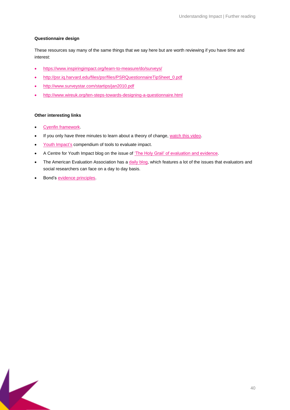#### **Questionnaire design**

These resources say many of the same things that we say here but are worth reviewing if you have time and interest:

- <https://www.inspiringimpact.org/learn-to-measure/do/surveys/>
- [http://psr.iq.harvard.edu/files/psr/files/PSRQuestionnaireTipSheet\\_0.pdf](http://psr.iq.harvard.edu/files/psr/files/PSRQuestionnaireTipSheet_0.pdf)
- <http://www.surveystar.com/startips/jan2010.pdf>
- <http://www.wireuk.org/ten-steps-towards-designing-a-questionnaire.html>

#### **Other interesting links**

- [Cyenfin framework.](https://en.wikipedia.org/wiki/Cynefin_framework)
- If you only have three minutes to learn about a theory of change[, watch this](https://www.youtube.com/watch?v=dpb4AGT684U) video.
- Youth [Impact's](https://www.youthimpact.uk/evaluation/category/tools) compendium of tools to evaluate impact.
- A Centre for Youth Impact blog on the issue of ['The Holy Grail' of evaluation and evidence.](https://www.youthimpact.uk/blogs/thoughts-on-the-holy-grail)
- The American Evaluation Association has a *daily blog*, which features a lot of the issues that evaluators and social researchers can face on a day to day basis.
- Bond's [evidence principles.](https://www.bond.org.uk/resources/evidence-principles)